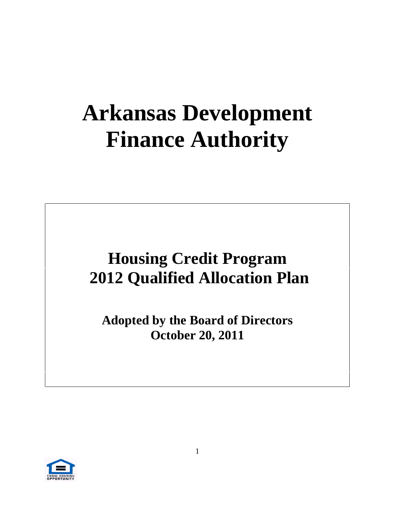# **Arkansas Development Finance Authority**

## **Housing Credit Program 2012 Qualified Allocation Plan**

**Adopted by the Board of Directors October 20, 2011**

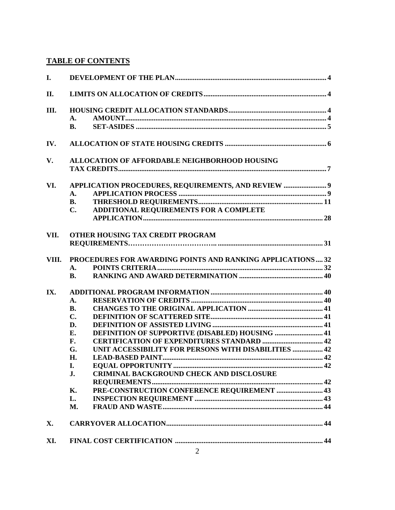### **TABLE OF CONTENTS**

| DEVELOPMENT OF THE PLAN                                                                                                                                                                                                                                                                                                                                                                                                                                                                                                                                                                                         |
|-----------------------------------------------------------------------------------------------------------------------------------------------------------------------------------------------------------------------------------------------------------------------------------------------------------------------------------------------------------------------------------------------------------------------------------------------------------------------------------------------------------------------------------------------------------------------------------------------------------------|
| LIMITS ON ALLOCATION OF CREDITS.                                                                                                                                                                                                                                                                                                                                                                                                                                                                                                                                                                                |
| HOUSING CREDIT ALLOCATION STANDARDS<br><b>AMOUNT.</b><br><b>B.</b> SET-ASIDES                                                                                                                                                                                                                                                                                                                                                                                                                                                                                                                                   |
| IV. ALLOCATION OF STATE HOUSING CREDITS                                                                                                                                                                                                                                                                                                                                                                                                                                                                                                                                                                         |
| V. ALLOCATION OF AFFORDABLE NEIGHBORHOOD HOUSING<br><b>TAX CREDITS</b>                                                                                                                                                                                                                                                                                                                                                                                                                                                                                                                                          |
| VI. APPLICATION PROCEDURES, REQUIREMENTS, AND REVIEW.<br><b>APPLICATION PROCESS</b><br>THRESHOLD REQUIREMENTS<br>C. ADDITIONAL REQUIREMENTS FOR A COMPLETE<br><b>APPLICATION</b>                                                                                                                                                                                                                                                                                                                                                                                                                                |
| VII. OTHER HOUSING TAX CREDIT PROGRAM<br><b>REQUIREMENTS</b>                                                                                                                                                                                                                                                                                                                                                                                                                                                                                                                                                    |
| VIII. PROCEDURES FOR AWARDING POINTS AND RANKING APPLICATIONS32<br><b>POINTS CRITERIA</b><br><b>RANKING AND AWARD DETERMINATION </b>                                                                                                                                                                                                                                                                                                                                                                                                                                                                            |
| IX. ADDITIONAL PROGRAM INFORMATION.<br><b>RESERVATION OF CREDITS</b><br><b>CHANGES TO THE ORIGINAL APPLICATION.</b><br>DEFINITION OF SCATTERED SITE.<br><b>DEFINITION OF ASSISTED LIVING</b><br>DEFINITION OF SUPPORTIVE (DISABLED) HOUSING<br><b>CERTIFICATION OF EXPENDITURES STANDARD.</b><br>UNIT ACCESSIBILITY FOR PERSONS WITH DISABILITIES.<br><b>LEAD-BASED PAINT</b><br><b>EQUAL OPPORTUNITY</b><br>$\boldsymbol{\Lambda}$<br><b>CRIMINAL BACKGROUND CHECK AND DISCLOSURE</b><br><b>REQUIREMENTS</b><br>K. PRE-CONSTRUCTION CONFERENCE REQUIREMENT.<br>L. INSPECTION REQUIREMENT<br>M. FRAUD AND WASTE |
| X. CARRYOVER ALLOCATION                                                                                                                                                                                                                                                                                                                                                                                                                                                                                                                                                                                         |
| XI. FINAL COST CERTIFICATION.                                                                                                                                                                                                                                                                                                                                                                                                                                                                                                                                                                                   |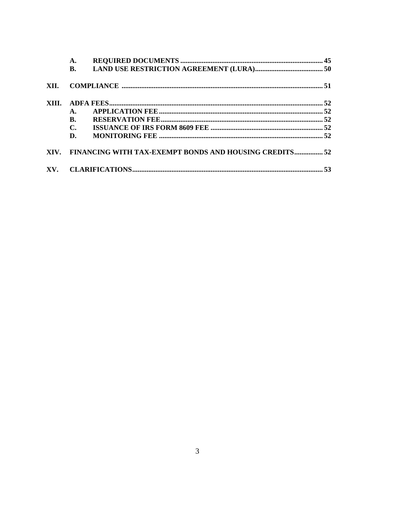|      | A.             |                                                             |    |
|------|----------------|-------------------------------------------------------------|----|
|      | <b>B.</b>      |                                                             |    |
| XII. |                |                                                             |    |
|      |                |                                                             |    |
|      | A.             |                                                             |    |
|      | B.             |                                                             |    |
|      | $\mathbf{C}$ . |                                                             |    |
|      | D.             |                                                             |    |
|      |                | XIV. FINANCING WITH TAX-EXEMPT BONDS AND HOUSING CREDITS 52 |    |
|      |                |                                                             | 53 |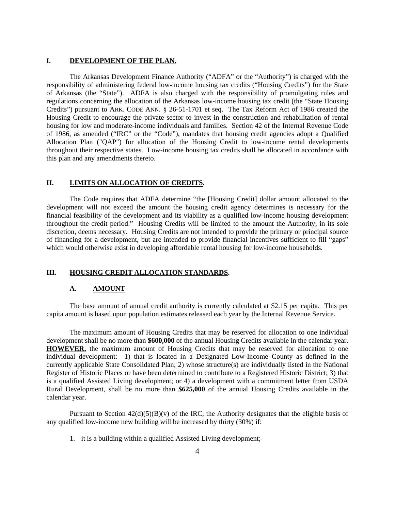#### **I. DEVELOPMENT OF THE PLAN.**

The Arkansas Development Finance Authority ("ADFA" or the "Authority") is charged with the responsibility of administering federal low-income housing tax credits ("Housing Credits") for the State of Arkansas (the "State"). ADFA is also charged with the responsibility of promulgating rules and regulations concerning the allocation of the Arkansas low-income housing tax credit (the "State Housing Credits") pursuant to ARK. CODE ANN. § 26-51-1701 et seq. The Tax Reform Act of 1986 created the Housing Credit to encourage the private sector to invest in the construction and rehabilitation of rental housing for low and moderate-income individuals and families. Section 42 of the Internal Revenue Code of 1986, as amended ("IRC" or the "Code"), mandates that housing credit agencies adopt a Qualified Allocation Plan ("QAP") for allocation of the Housing Credit to low-income rental developments throughout their respective states. Low-income housing tax credits shall be allocated in accordance with this plan and any amendments thereto.

#### **II. LIMITS ON ALLOCATION OF CREDITS.**

The Code requires that ADFA determine "the [Housing Credit] dollar amount allocated to the development will not exceed the amount the housing credit agency determines is necessary for the financial feasibility of the development and its viability as a qualified low-income housing development throughout the credit period." Housing Credits will be limited to the amount the Authority, in its sole discretion, deems necessary. Housing Credits are not intended to provide the primary or principal source of financing for a development, but are intended to provide financial incentives sufficient to fill "gaps" which would otherwise exist in developing affordable rental housing for low-income households.

# **III. HOUSING CREDIT ALLOCATION STANDARDS. A. AMOUNT**

The base amount of annual credit authority is currently calculated at \$2.15 per capita. This per capita amount is based upon population estimates released each year by the Internal Revenue Service.

The maximum amount of Housing Credits that may be reserved forallocation to one individual development shall be no more than **\$600,000** of the annual Housing Credits available in the calendar year. **HOWEVER,** the maximum amount of Housing Credits that may be reserved for allocation to one individual development: 1) that is located in a Designated Low-Income County as defined in the currently applicable State Consolidated Plan; 2) whose structure(s) are individually listed in the National Register of Historic Places or have been determined to contribute to a Registered Historic District; 3) that is a qualified Assisted Living development; or 4) a development with a commitment letter from USDA Rural Development, shall be no more than **\$625,000** of the annual Housing Credits available in the calendar year.

Pursuant to Section  $42(d)(5)(B)(v)$  of the IRC, the Authority designates that the eligible basis of any qualified low-income new building will be increased by thirty (30%) if:

1. it is a building within a qualified Assisted Living development;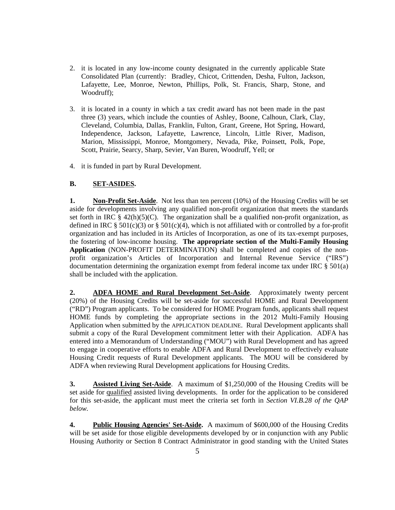- 2. it is located in any low-income county designated in the currently applicable State Consolidated Plan (currently: Bradley, Chicot, Crittenden, Desha, Fulton, Jackson, Lafayette, Lee, Monroe, Newton, Phillips, Polk, St. Francis, Sharp, Stone, and Woodruff);
- 3. it is located in a county in which a tax credit award has not been made in the past three (3) years, which include the counties of Ashley, Boone, Calhoun, Clark, Clay, Cleveland, Columbia, Dallas, Franklin, Fulton, Grant, Greene, Hot Spring, Howard, Independence, Jackson, Lafayette, Lawrence, Lincoln, Little River, Madison, Marion, Mississippi, Monroe, Montgomery, Nevada, Pike, Poinsett, Polk, Pope, Scott, Prairie, Searcy, Sharp, Sevier, Van Buren, Woodruff, Yell; or
- 4. it is funded in part by Rural Development.

### **B. SET-ASIDES.**

**1. Non-Profit Set-Aside**. Not less than ten percent (10%) of the Housing Credits will be set aside for developments involving any qualified non-profit organization that meets the standards set forth in IRC  $\S$  42(h)(5)(C). The organization shall be a qualified non-profit organization, as defined in IRC § 501(c)(3) or § 501(c)(4), which is not affiliated with or controlled by a for-profit organization and has included in its Articles of Incorporation, as one of its tax-exempt purposes, the fostering of low-income housing. **The appropriate section of the Multi-Family Housing Application** (NON-PROFIT DETERMINATION) shall be completed and copies of the non profit organization's Articles of Incorporation and Internal Revenue Service ("IRS") documentation determining the organization exempt from federal income tax under IRC § 501(a) shall be included with the application.

**2. ADFA HOME and Rural Development Set-Aside**. Approximately twenty percent (20%) of the Housing Credits will be set-aside for successful HOME and Rural Development ("RD") Program applicants. To be considered for HOME Program funds, applicants shall request HOME funds by completing the appropriate sections in the 2012 Multi-Family Housing Application when submitted by the APPLICATION DEADLINE. Rural Development applicants shall submit a copy of the Rural Development commitment letter with their Application. ADFA has entered into a Memorandum of Understanding ("MOU") with Rural Development and has agreed to engage in cooperative efforts to enable ADFA and Rural Development to effectively evaluate Housing Credit requests of Rural Development applicants. The MOU will be considered by ADFA when reviewing Rural Development applications for Housing Credits.

**3. Assisted Living Set-Aside**. A maximum of \$1,250,000 of the Housing Credits will be set aside for qualified assisted living developments. In order for the application to be considered for this set-aside, the applicant must meet the criteria set forth in *Section VI.B.28 of the QAP below.*

**4. Public Housing Agencies' Set-Aside.** A maximum of \$600,000 of the Housing Credits will be set aside for those eligible developments developed by or in conjunction with any Public Housing Authority or Section 8 Contract Administrator in good standing with the United States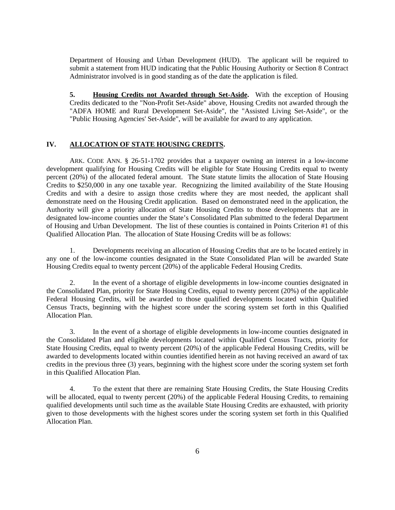Department of Housing and Urban Development (HUD). The applicant will be required to submit a statement from HUD indicating that the Public Housing Authority or Section 8 Contract Administrator involved is in good standing as of the date the application is filed.

**5. Housing Credits not Awarded through Set-Aside.** With the exception of Housing Credits dedicated to the "Non-Profit Set-Aside" above, Housing Credits not awarded through the "ADFA HOME and Rural Development Set-Aside", the "Assisted Living Set-Aside", or the "Public Housing Agencies' Set-Aside", will be available for award to any application.

#### **IV. ALLOCATION OF STATE HOUSING CREDITS.**

ARK. CODE ANN. § 26-51-1702 provides that a taxpayer owning an interest in a low-income development qualifying for Housing Credits will be eligible for State Housing Credits equal to twenty percent (20%) of the allocated federal amount. The State statute limits the allocation of State Housing Credits to \$250,000 in any one taxable year. Recognizing the limited availability of the State Housing Credits and with a desire to assign those credits where they are most needed, the applicant shall demonstrate need on the Housing Credit application. Based on demonstrated need in the application, the Authority will give a priority allocation of State Housing Credits to those developments that are in designated low-income counties under the State's Consolidated Plan submitted to the federal Department of Housing and Urban Development. The list of these counties is contained in Points Criterion #1 of this Qualified Allocation Plan. The allocation of State Housing Credits will be as follows:

1. Developments receiving an allocation of Housing Credits that are to be located entirely in any one of the low-income counties designated in the State Consolidated Plan will be awarded State Housing Credits equal to twenty percent (20%) of the applicable Federal Housing Credits.

2. In the event of a shortage of eligible developments in low-income counties designated in the Consolidated Plan, priority for State Housing Credits, equal to twenty percent (20%) of the applicable Federal Housing Credits, will be awarded to those qualified developments located within Qualified Census Tracts, beginning with the highest score under the scoring system set forth in this Qualified Allocation Plan.

3. In the event of a shortage of eligible developments in low-income counties designated in the Consolidated Plan and eligible developments located within Qualified Census Tracts, priority for State Housing Credits, equal to twenty percent (20%) of the applicable Federal Housing Credits, will be awarded to developments located within counties identified herein as not having received an award of tax credits in the previous three (3) years, beginning with the highest score under the scoring system set forth in this Qualified Allocation Plan.

4. To the extent that there are remaining State Housing Credits, the State Housing Credits will be allocated, equal to twenty percent (20%) of the applicable Federal Housing Credits, to remaining qualified developments until such time as the available State Housing Credits are exhausted, with priority given to those developments with the highest scores under the scoring system set forth in this Qualified Allocation Plan.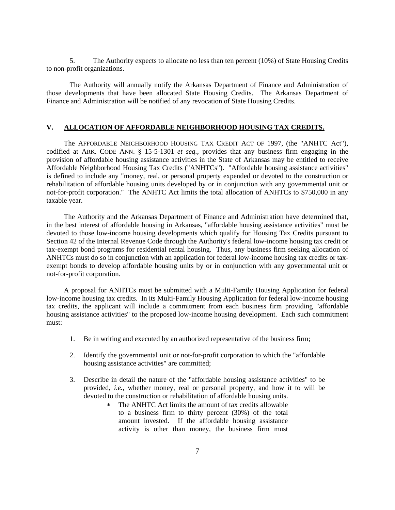5. The Authority expects to allocate no less than ten percent (10%) of State Housing Credits to non-profit organizations.

The Authority will annually notify the Arkansas Department of Finance and Administration of those developments that have been allocated State Housing Credits. The Arkansas Department of Finance and Administration will be notified of any revocation of State Housing Credits.

#### **V. ALLOCATION OF AFFORDABLE NEIGHBORHOOD HOUSING TAX CREDITS.**

The AFFORDABLE NEIGHBORHOOD HOUSING TAX CREDIT ACT OF 1997, (the "ANHTC Act"), codified at ARK. CODE ANN. § 15-5-1301 *et seq.,* provides that any business firm engaging in the provision of affordable housing assistance activities in the State of Arkansas may be entitled to receive Affordable Neighborhood Housing Tax Credits ("ANHTCs"). "Affordable housing assistance activities" is defined to include any "money, real, or personal property expended or devoted to the construction or rehabilitation of affordable housing units developed by or in conjunction with any governmental unit or not-for-profit corporation." The ANHTC Act limits the total allocation of ANHTCs to \$750,000 in any taxable year.

The Authority and the Arkansas Department of Finance and Administration have determined that, in the best interest of affordable housing in Arkansas, "affordable housing assistance activities" must be devoted to those low-income housing developments which qualify for Housing Tax Credits pursuant to Section 42 of the Internal Revenue Code through the Authority's federal low-income housing tax credit or tax-exempt bond programs for residential rental housing. Thus, any business firm seeking allocation of ANHTCs must do so in conjunction with an application for federal low-income housing tax credits or tax exempt bonds to develop affordable housing units by or in conjunction with any governmental unit or not-for-profit corporation.

A proposal for ANHTCs must be submitted with a Multi-Family Housing Application for federal low-income housing tax credits. In its Multi-Family Housing Application for federal low-income housing tax credits, the applicant will include a commitment from each business firm providing "affordable housing assistance activities" to the proposed low-income housing development. Each such commitment must:

- 1. Be in writing and executed by an authorized representative of the business firm;
- 2. Identify the governmental unit or not-for-profit corporation to which the "affordable housing assistance activities" are committed;
- 3. Describe in detail the nature of the "affordable housing assistance activities" to be provided, *i.e.*, whether money, real or personal property, and how it to will be devoted to the construction or rehabilitation of affordable housing units.
	- The ANHTC Act limits the amount of tax credits allowable to a business firm to thirty percent (30%) of the total amount invested. If the affordable housing assistance activity is other than money, the business firm must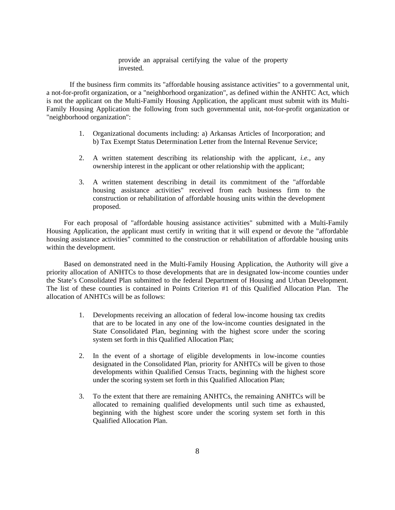provide an appraisal certifying the value of the property invested.

If the business firm commits its "affordable housing assistance activities" to a governmental unit, a not-for-profit organization, or a "neighborhood organization", as defined within the ANHTC Act, which is not the applicant on the Multi-Family Housing Application, the applicant must submit with its Multi- Family Housing Application the following from such governmental unit, not-for-profit organization or "neighborhood organization":

- 1. Organizational documents including: a) Arkansas Articles of Incorporation; and b) Tax Exempt Status Determination Letter from the Internal Revenue Service;
- 2. A written statement describing its relationship with the applicant, *i.e.,* any ownership interest in the applicant or other relationship with the applicant;
- 3. A written statement describing in detail its commitment of the "affordable housing assistance activities" received from each business firm to the construction or rehabilitation of affordable housing units within the development proposed.

For each proposal of "affordable housing assistance activities" submitted with a Multi-Family Housing Application, the applicant must certify in writing that it will expend or devote the "affordable housing assistance activities" committed to the construction or rehabilitation of affordable housing units within the development.

Based on demonstrated need in the Multi-Family Housing Application, the Authority will give a priority allocation of ANHTCs to those developments that are in designated low-income counties under the State's Consolidated Plan submitted to the federal Department of Housing and Urban Development. The list of these counties is contained in Points Criterion #1 of this Qualified Allocation Plan. The allocation of ANHTCs will be as follows:

- 1. Developments receiving an allocation of federal low-income housing tax credits that are to be located in any one of the low-income counties designated in the State Consolidated Plan, beginning with the highest score under the scoring system set forth in this Qualified Allocation Plan;
- 2. In the event of a shortage of eligible developments in low-income counties designated in the Consolidated Plan, priority for ANHTCs will be given to those developments within Qualified Census Tracts, beginning with the highest score under the scoring system set forth in this Qualified Allocation Plan;
- 3. To the extent that there are remaining ANHTCs, the remaining ANHTCs will be allocated to remaining qualified developments until such time as exhausted, beginning with the highest score under the scoring system set forth in this Qualified Allocation Plan.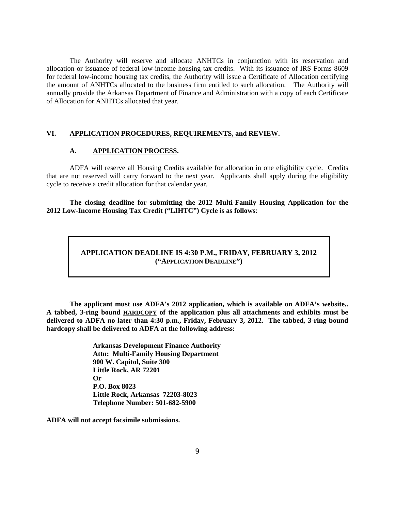The Authority will reserve and allocate ANHTCs in conjunction with its reservation and allocation or issuance of federal low-income housing tax credits. With its issuance of IRS Forms 8609 for federal low-income housing tax credits, the Authority will issue a Certificate of Allocation certifying the amount of ANHTCs allocated to the business firm entitled to such allocation. The Authority will annually provide the Arkansas Department of Finance and Administration with a copy of each Certificate of Allocation for ANHTCs allocated that year.

#### **VI. APPLICATION PROCEDURES, REQUIREMENTS, and REVIEW.**

#### **A. APPLICATION PROCESS.**

ADFA will reserve all Housing Credits available for allocation in one eligibility cycle. Credits that are not reserved will carry forward to the next year. Applicants shall apply during the eligibility cycle to receive a credit allocation for that calendar year.

**The closing deadline for submitting the 2012 Multi-Family Housing Application for the 2012 Low-Income Housing Tax Credit ("LIHTC") Cycle is as follows**:

### **APPLICATION DEADLINE IS 4:30 P.M., FRIDAY, FEBRUARY 3, 2012 ("APPLICATION DEADLINE")**

**The applicant must use ADFA's 2012 application, which is available on ADFA's website.. A tabbed, 3-ring bound HARDCOPY of the application plus all attachments and exhibits must be delivered to ADFA no later than 4:30 p.m., Friday, February 3, 2012. The tabbed, 3-ring bound hardcopy shall be delivered to ADFA at the following address:**

> **Arkansas Development Finance Authority Attn: Multi-Family Housing Department 900 W. Capitol, Suite 300 Little Rock, AR 72201 Or P.O. Box 8023 Little Rock, Arkansas 72203-8023 Telephone Number: 501-682-5900**

**ADFA will not accept facsimile submissions.**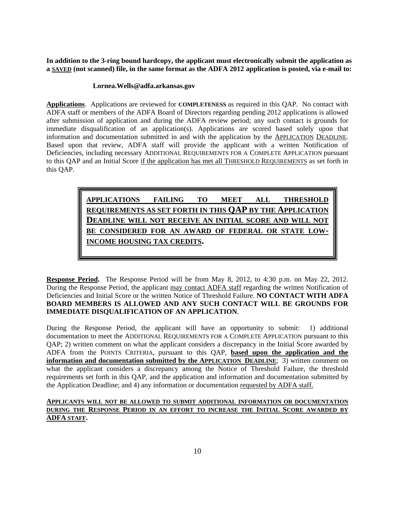**In addition to the 3-ring bound hardcopy, the applicant must electronically submit the application as a SAVED (not scanned) file, in the same format as the ADFA 2012 application is posted, via e-mail to:**

#### **Lornea.Wells@adfa.arkansas.gov**

**Applications**. Applications are reviewed for **COMPLETENESS** as required in this QAP. No contact with ADFA staff or members of the ADFA Board of Directors regarding pending 2012 applications is allowed after submission of application and during the ADFA review period; any such contact is grounds for immediate disqualification of an application(s). Applications are scored based solely upon that information and documentation submitted in and with the application by the APPLICATION DEADLINE. Based upon that review, ADFA staff will provide the applicant with <sup>a</sup> written Notification of Deficiencies, including necessary ADDITIONAL REQUIREMENTS FOR A COMPLETE APPLICATION pursuant to this QAP and an Initial Score if the application has met all THRESHOLD REQUIREMENTS as set forth in this QAP.

> **REQUIREMENTS AS SET FORTH IN THIS QAP BY THE APPLICATION DEADLINE WILL NOT RECEIVE AN INITIAL SCORE AND WILL NOT BE CONSIDERED FOR AN AWARD OF FEDERAL OR STATE LOW- INCOME HOUSING TAX CREDITS.**

**Response Period.** The Response Period will be from May 8, 2012, to 4:30 p.m. on May 22, 2012. During the Response Period, the applicant may contact ADFA staff regarding the written Notification of Deficiencies and Initial Score or the written Notice of Threshold Failure. **NO CONTACT WITH ADFA BOARD MEMBERS IS ALLOWED AND ANY SUCH CONTACT WILL BE GROUNDS FOR**

**IMMEDIATE DISQUALIFICATION OF AN APPLICATION.**<br>During the Response Period, the applicant will have an opportunity to submit: 1) additional documentation to meet the ADDITIONAL REQUIREMENTS FOR A COMPLETE APPLICATION pursuant to this QAP; 2) written comment on what the applicant considers a discrepancy in the Initial Score awarded by ADFA from the POINTS CRITERIA, pursuant to this QAP, **based upon the application and the information and documentation submitted by the APPLICATION DEADLINE**; 3) written comment on what the applicant considers a discrepancy among the Notice of Threshold Failure, the threshold requirements set forth in this QAP, and the application and information and documentation submitted by the Application Deadline; and 4) any information or documentation requested by ADFA staff. **APPLICATIONS FAILING FAILING TO MEET** ALL **THRESHOLD**<br> **REQUIREMENTS AS SET FORTH IN THIS QAP BY THE APPLICATION**<br> **BEADLINE WILL NOT RECEIVE AN INITIAL SCORE AND WILL NOT**<br> **BEONIEMED FOR AN AWARD OF FEDERAL OR STA** 

## **APPLICANTS WILL NOT BE ALLOWED TO SUBMIT ADDITIONAL INFORMATION OR DOCUMENTATION DURING THE RESPONSE PERIOD IN AN EFFORT TO INCREASE THE INITIAL SCORE AWARDED BY**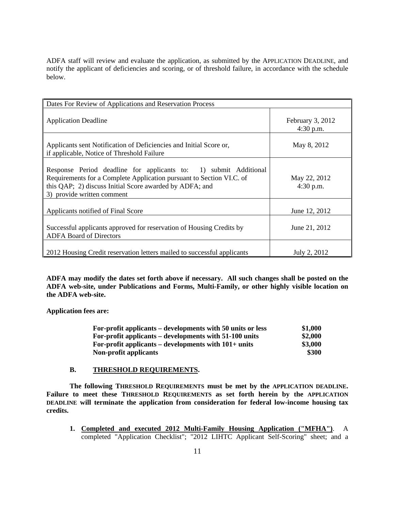ADFA staff will review and evaluate the application, as submitted by the APPLICATION DEADLINE, and notify the applicant of deficiencies and scoring, or of threshold failure, in accordance with the schedule below.

| Dates For Review of Applications and Reservation Process                                                                                                                                                                          |                                 |
|-----------------------------------------------------------------------------------------------------------------------------------------------------------------------------------------------------------------------------------|---------------------------------|
| <b>Application Deadline</b>                                                                                                                                                                                                       | February 3, 2012<br>$4:30$ p.m. |
| Applicants sent Notification of Deficiencies and Initial Score or,<br>if applicable, Notice of Threshold Failure                                                                                                                  | May 8, 2012                     |
| Response Period deadline for applicants to: 1) submit Additional<br>Requirements for a Complete Application pursuant to Section VI.C. of<br>this QAP; 2) discuss Initial Score awarded by ADFA; and<br>3) provide written comment | May 22, 2012<br>4:30 p.m.       |
| Applicants notified of Final Score                                                                                                                                                                                                | June 12, 2012                   |
| Successful applicants approved for reservation of Housing Credits by<br><b>ADFA Board of Directors</b>                                                                                                                            | June 21, 2012                   |
| 2012 Housing Credit reservation letters mailed to successful applicants                                                                                                                                                           | July 2, 2012                    |

**ADFA may modify the dates set forth above if necessary. All such changes shall be posted on the ADFA web-site, under Publications and Forms, Multi-Family, or other highly visible location on the ADFA web-site.**

**Application fees are:**

| For-profit applicants – developments with 50 units or less | \$1,000 |
|------------------------------------------------------------|---------|
| For-profit applicants – developments with 51-100 units     | \$2,000 |
| For-profit applicants – developments with $101+$ units     | \$3,000 |
| Non-profit applicants                                      | \$300   |

#### **B. THRESHOLD REQUIREMENTS.**

The following THRESHOLD REQUIREMENTS must be met by the APPLICATION DEADLINE.<br>Failure to meet these THRESHOLD REQUIREMENTS as set forth herein by the APPLICATION **DEADLINE will terminate the application from consideration for federal low-income housing tax credits.**

**1. Completed and executed 2012 Multi-Family Housing Application ("MFHA")**. A completed "Application Checklist"; "2012 LIHTC Applicant Self-Scoring" sheet; and a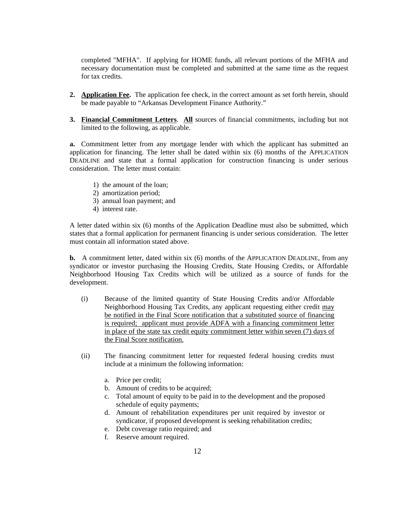completed "MFHA". If applying for HOME funds, all relevant portions of the MFHA and necessary documentation must be completed and submitted at the same time as the request for tax credits.

- **2. Application Fee.** The application fee check, in the correct amount as set forth herein, should be made payable to "Arkansas Development Finance Authority."
- **3. Financial Commitment Letters**. **All** sources of financial commitments, including but not limited to the following, as applicable.

**a.** Commitment letter from any mortgage lender with which the applicant has submitted an application for financing. The letter shall be dated within six (6) months of the APPLICATION DEADLINE and state that a formal application for construction financing is under serious consideration. The letter must contain:

- 1) the amount of the loan;
- 2) amortization period;
- 3) annual loan payment; and
- 4) interest rate.

A letter dated within six (6) months of the Application Deadline must also be submitted, which states that a formal application for permanent financing is under serious consideration. The letter must contain all information stated above.

**b.** A commitment letter, dated within six (6) months of the APPLICATION DEADLINE, from any syndicator or investor purchasing the Housing Credits, State Housing Credits, or Affordable Neighborhood Housing Tax Credits which will be utilized as a source of funds for the development.

- (i) Because of the limited quantity of State Housing Credits and/or Affordable Neighborhood Housing Tax Credits, any applicant requesting either credit may be notified in the Final Score notification that a substituted source of financing is required; applicant must provide ADFA with a financing commitment letter in place of the state tax credit equity commitment letter within seven (7) days of the Final Score notification.
- (ii) The financing commitment letter for requested federal housing credits must include at a minimum the following information:
	- a. Price per credit;
	- b. Amount of credits to be acquired;
	- c. Total amount of equity to be paid in to the development and the proposed schedule of equity payments;
	- d. Amount of rehabilitation expenditures per unit required by investor or syndicator, if proposed development is seeking rehabilitation credits;
	- e. Debt coverage ratio required; and
	- f. Reserve amount required.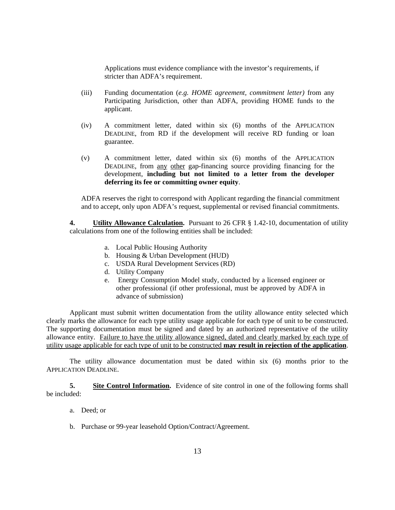Applications must evidence compliance with the investor's requirements, if stricter than ADFA's requirement.

- (iii) Funding documentation (*e.g. HOME agreement, commitment letter)* from any Participating Jurisdiction, other than ADFA, providing HOME funds to the applicant.
- (iv) A commitment letter, dated within six (6) months of the APPLICATION DEADLINE, from RD if the development will receive RD funding or loan guarantee.
- (v) A commitment letter, dated within six (6) months of the APPLICATION DEADLINE, from any other gap-financing source providing financing for the development, **including but not limited to a letter from the developer deferring its fee or committing owner equity**. ADFA reserves the right to correspond with Applicant regarding the financial commitment

and to accept, only upon ADFA's request, supplemental or revised financial commitments.

**4. Utility Allowance Calculation.** Pursuant to 26 CFR § 1.42-10, documentation of utility calculations from one of the following entities shall be included:

- a. Local Public Housing Authority
- b. Housing & Urban Development (HUD)
- c. USDA Rural Development Services (RD)
- d. Utility Company
- e. Energy Consumption Model study, conducted by a licensed engineer or other professional (if other professional, must be approved by ADFA in advance of submission)

Applicant must submit written documentation from the utility allowance entity selected which clearly marks the allowance for each type utility usage applicable for each type of unit to be constructed. The supporting documentation must be signed and dated by an authorized representative of the utility allowance entity. Failure to have the utility allowance signed, dated and clearly marked by each type of

utility usage applicable for each type of unit to be constructed **may result in rejection of the application**. The utility allowance documentation must be dated within six (6) months prior to the APPLICATION DEADLINE.

**5. Site Control Information.** Evidence of site control in one of the following forms shall be included:

- a. Deed; or
- b. Purchase or 99-year leasehold Option/Contract/Agreement.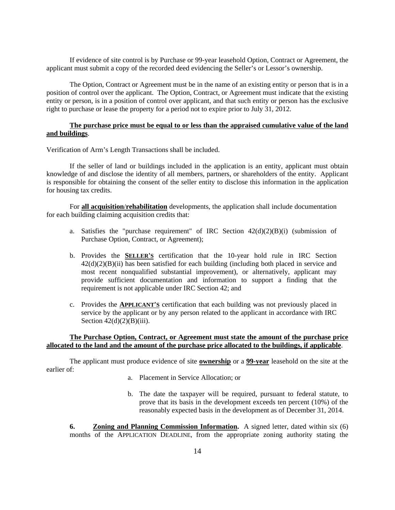If evidence of site control is by Purchase or 99-year leasehold Option, Contract or Agreement, the applicant must submit a copy of the recorded deed evidencing the Seller's or Lessor's ownership.

The Option, Contract or Agreement must be in the name of an existing entity or person that is in a position of control over the applicant. The Option, Contract, or Agreement must indicate that the existing entity or person, is in a position of control over applicant, and that such entity or person has the exclusive right to purchase or lease the property for a period not to expire prior to July 31, 2012.

#### **The purchase price must be equal to or less than the appraised cumulative value of the land and buildings**.

Verification of Arm's Length Transactions shall be included.

If the seller of land or buildings included in the application is an entity, applicant must obtain knowledge of and disclose the identity of all members, partners, or shareholders of the entity. Applicant is responsible for obtaining the consent of the seller entity to disclose this information in the application for housing tax credits.

For **all acquisition**/**rehabilitation** developments, the application shall include documentation for each building claiming acquisition credits that:

- a. Satisfies the "purchase requirement" of IRC Section 42(d)(2)(B)(i) (submission of Purchase Option, Contract, or Agreement);
- b. Provides the **SELLER'S** certification that the 10-year hold rule in IRC Section  $42(d)(2)(B)(ii)$  has been satisfied for each building (including both placed in service and most recent nonqualified substantial improvement), or alternatively, applicant may provide sufficient documentation and information to support a finding that the requirement is not applicable under IRC Section 42; and
- c. Provides the **APPLICANT'S** certification that each building was not previously placed in service by the applicant or by any person related to the applicant in accordance with IRC Section  $42(d)(2)(B)(iii)$ .

## **The Purchase Option, Contract, or Agreement must state the amount of the purchase price allocated to the land and the amount of the purchase price allocated to the buildings, if applicable**. The applicant must produce evidence of site **ownership** or <sup>a</sup> **99-year** leasehold on the site at the

earlier of:

- a. Placement in Service Allocation; or
- b. The date the taxpayer will be required, pursuant to federal statute, to prove that its basis in the development exceeds ten percent (10%) of the reasonably expected basis in the development as of December 31, 2014.

**6. Zoning and Planning Commission Information.** A signed letter, dated within six (6) months of the APPLICATION DEADLINE, from the appropriate zoning authority stating the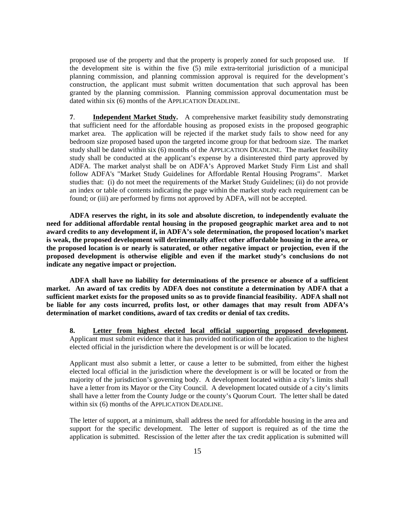proposed use of the property and that the property is properly zoned for such proposed use. If the development site is within the five (5) mile extra-territorial jurisdiction of a municipal planning commission, and planning commission approval is required for the development's construction, the applicant must submit written documentation that such approval has been granted by the planning commission. Planning commission approval documentation must be dated within six (6) months of the APPLICATION DEADLINE.

**7**. **Independent Market Study.** A comprehensive market feasibility study demonstrating that sufficient need for the affordable housing as proposed exists in the proposed geographic market area. The application will be rejected if the market study fails to show need for any bedroom size proposed based upon the targeted income group for that bedroom size. The market study shall be dated within six (6) months of the APPLICATION DEADLINE. The market feasibility study shall be conducted at the applicant's expense by a disinterested third party approved by ADFA. The market analyst shall be on ADFA's Approved Market Study Firm List and shall follow ADFA's "Market Study Guidelines for Affordable Rental Housing Programs". Market studies that: (i) do not meet the requirements of the Market Study Guidelines; (ii) do not provide an index or table of contents indicating the page within the market study each requirement can be found; or (iii) are performed by firms not approved by ADFA, will not be accepted.

**ADFA reserves the right, in its sole and absolute discretion, to independently evaluate the need for additional affordable rental housing in the proposed geographic market area and to not award credits to any development if, in ADFA's sole determination, the proposed location's market is weak, the proposed development will detrimentally affect other affordable housing in the area, or the proposed location is or nearly is saturated, or other negative impact or projection, even if the proposed development is otherwise eligible and even if the market study's conclusions do not indicate any negative impact or projection.** 

**ADFA shall have no liability for determinations of the presence or absence of a sufficient market. An award of tax credits by ADFA does not constitute a determination by ADFA that a sufficient market exists for the proposed units so as to provide financial feasibility. ADFA shall not be liable for any costs incurred, profits lost, or other damages that may result from ADFA's determination of market conditions, award of tax credits or denial of tax credits.** 

8. Letter from highest elected local official supporting proposed development.<br>Applicant must submit evidence that it has provided notification of the application to the highest elected official in the jurisdiction where the development is or will be located.

Applicant must also submit a letter, or cause a letter to be submitted, from either the highest elected local official in the jurisdiction where the development is or will be located or from the majority of the jurisdiction's governing body. A development located within a city's limits shall have a letter from its Mayor or the City Council. A development located outside of a city's limits shall have a letter from the County Judge or the county's Quorum Court. The letter shall be dated

within six (6) months of the APPLICATION DEADLINE.<br>The letter of support, at a minimum, shall address the need for affordable housing in the area and support for the specific development. The letter of support is required as of the time the application is submitted. Rescission of the letter after the tax credit application is submitted will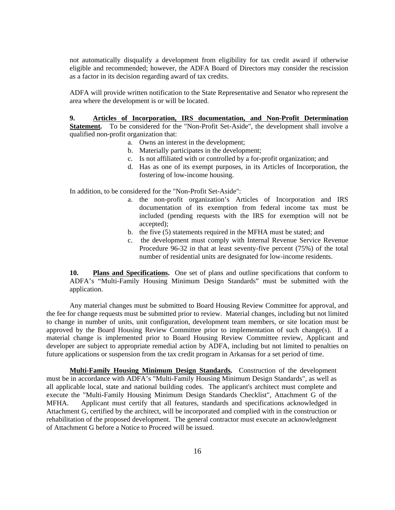not automatically disqualify a development from eligibility for tax credit award if otherwise eligible and recommended; however, the ADFA Board of Directors may consider the rescission as a factor in its decision regarding award of tax credits.

as a factor in its decision regarding award of tax credits.<br>ADFA will provide written notification to the State Representative and Senator who represent the area where the development is or will be located.

#### **9. Articles of Incorporation, IRS documentation, and Non-Profit Determination**

Statement. To be considered for the "Non-Profit Set-Aside", the development shall involve a qualified non-profit organization that:

- a. Owns an interest in the development;
- b. Materially participates in the development;
- c. Is not affiliated with or controlled by a for-profit organization; and
- d. Has as one of its exempt purposes, in its Articles of Incorporation, the fostering of low-income housing.

In addition, to be considered for the "Non-Profit Set-Aside":

- a. the non-profit organization's Articles of Incorporation and IRS documentation of its exemption from federal income tax must be included (pending requests with the IRS for exemption will not be accepted);
- b. the five (5) statements required in the MFHA must be stated; and
- c. the development must comply with Internal Revenue Service Revenue Procedure 96-32 in that at least seventy-five percent (75%) of the total number of residential units are designated for low-income residents.

**10. Plans and Specifications.** One set of plans and outline specifications that conform to ADFA's "Multi-Family Housing Minimum Design Standards" must be submitted with the application.

Any material changes must be submitted to Board Housing Review Committee for approval, and the fee for change requests must be submitted prior to review. Material changes, including but not limited to change in number of units, unit configuration, development team members, or site location must be approved by the Board Housing Review Committee prior to implementation of such change(s). If a material change is implemented prior to Board Housing Review Committee review, Applicant and developer are subject to appropriate remedial action by ADFA, including but not limited to penalties on future applications or suspension from the tax credit program in Arkansas for a set period of time.

**Multi-Family Housing Minimum Design Standards.** Construction of the development must be in accordance with ADFA's "Multi-Family Housing Minimum Design Standards", as well as all applicable local, state and national building codes. The applicant's architect must complete and execute the "Multi-Family Housing Minimum Design Standards Checklist", Attachment G of the MFHA. Applicant must certify that all features, standards and specifications acknowledged in Attachment G, certified by the architect, will be incorporated and complied with in the construction or rehabilitation of the proposed development. The general contractor must execute an acknowledgment of Attachment G before a Notice to Proceed will be issued.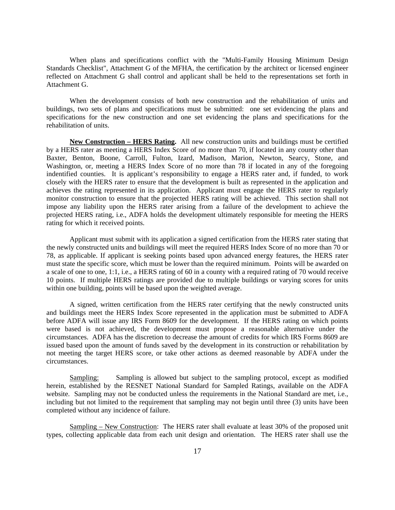When plans and specifications conflict with the "Multi-Family Housing Minimum Design Standards Checklist", Attachment G of the MFHA, the certification by the architect or licensed engineer reflected on Attachment G shall control and applicant shall be held to the representations set forth in Attachment G.

When the development consists of both new construction and the rehabilitation of units and buildings, two sets of plans and specifications must be submitted: one set evidencing the plans and specifications for the new construction and one set evidencing the plans and specifications for the rehabilitation of units.

**New Construction – HERS Rating.** All new construction units and buildings must be certified by a HERS rater as meeting a HERS Index Score of no more than 70, if located in any county other than Baxter, Benton, Boone, Carroll, Fulton, Izard, Madison, Marion, Newton, Searcy, Stone, and Washington, or, meeting a HERS Index Score of no more than 78 if located in any of the foregoing indentified counties. It is applicant's responsibility to engage a HERS rater and, if funded, to work closely with the HERS rater to ensure that the development is built as represented in the application and achieves the rating represented in its application. Applicant must engage the HERS rater to regularly monitor construction to ensure that the projected HERS rating will be achieved. This section shall not impose any liability upon the HERS rater arising from a failure of the development to achieve the projected HERS rating, i.e., ADFA holds the development ultimately responsible formeeting the HERS rating for which it received points.

Applicant must submit with its application a signed certification from the HERS rater stating that the newly constructed units and buildings will meet the required HERS Index Score of no more than 70 or 78, as applicable. If applicant is seeking points based upon advanced energy features, the HERS rater must state the specific score, which must be lower than the required minimum. Points will be awarded on a scale of one to one, 1:1, i.e., a HERS rating of 60 in a county with a required rating of 70 would receive 10 points. If multiple HERS ratings are provided due to multiple buildings or varying scores for units within one building, points will be based upon the weighted average.<br>A signed, written certification from the HERS rater certifying that the newly constructed units

and buildings meet the HERS Index Score represented in the application must be submitted to ADFA before ADFA will issue any IRS Form 8609 for the development. If the HERS rating on which points were based is not achieved, the development must propose a reasonable alternative under the circumstances. ADFA has the discretion to decrease the amount of credits for which IRS Forms 8609 are issued based upon the amount of funds saved by the development in its construction or rehabilitation by not meeting the target HERS score, or take other actions as deemed reasonable by ADFA under the circumstances.<br>
Sampling: Sampling is allowed but subject to the sampling protocol, except as modified

herein, established by the RESNET National Standard for Sampled Ratings, available on the ADFA website. Sampling may not be conducted unless the requirements in the National Standard are met, i.e., including but not limited to the requirement that sampling may not begin until three (3) units have been completed without any incidence of failure.

Sampling – New Construction: The HERS rater shall evaluate at least 30% of the proposed unit types, collecting applicable data from each unit design and orientation. The HERS rater shall use the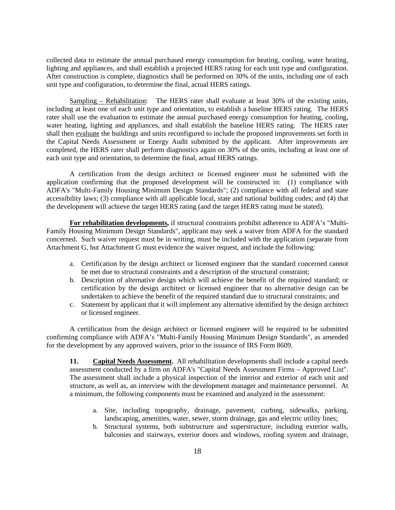collected data to estimate the annual purchased energy consumption for heating, cooling, water heating, lighting and appliances, and shall establish a projected HERS rating for each unit type and configuration. After construction is complete, diagnostics shall be performed on 30% of the units, including one of each unit type and configuration, to determine the final, actual HERS ratings.

Sampling – Rehabilitation: The HERS rater shall evaluate at least 30% of the existing units, including at least one of each unit type and orientation, to establish a baseline HERS rating. The HERS rater shall use the evaluation to estimate the annual purchased energy consumption for heating, cooling, water heating, lighting and appliances, and shall establish the baseline HERS rating. The HERS rater shall then evaluate the buildings and units reconfigured to include the proposed improvements set forth in the Capital Needs Assessment or Energy Audit submitted by the applicant. After improvements are completed, the HERS rater shall perform diagnostics again on 30% of the units, including at least one of each unit type and orientation, to determine the final, actual HERS ratings.

A certification from the design architect or licensed engineer must be submitted with the application confirming that the proposed development will be constructed in: (1) compliance with ADFA's "Multi-Family Housing Minimum Design Standards"; (2) compliance with all federal and state accessibility laws; (3) compliance with all applicable local, state and national building codes; and (4) that the development will achieve the target HERS rating (and the target HERS rating must be stated).

**For rehabilitation developments,** if structural constraints prohibit adherence to ADFA's "Multi- Family Housing Minimum Design Standards", applicant may seek a waiver from ADFA for the standard concerned. Such waiver request must be in writing, must be included with the application (separate from Attachment G, but Attachment G must evidence the waiver request, and include the following:

- a. Certification by the design architect or licensed engineer that the standard concerned cannot be met due to structural constraints and a description of the structural constraint;
- b. Description of alternative design which will achieve the benefit of the required standard; or certification by the design architect or licensed engineer that no alternative design can be undertaken to achieve the benefit of the required standard due to structural constraints; and
- c. Statement by applicant that it will implement any alternative identified by the design architect or licensed engineer.

A certification from the design architect or licensed engineer will be required to be submitted confirming compliance with ADFA's "Multi-Family Housing Minimum Design Standards", as amended for the development by any approved waivers, prior to the issuance of IRS Form 8609. **11. Capital Needs Assessment.** All rehabilitation developments shall include a capital needs

assessment conducted by <sup>a</sup> firm on ADFA's "Capital Needs Assessment Firms – Approved List". The assessment shall include <sup>a</sup> physical inspection of the interior and exterior of each unit and structure, as well as, an interview with the development manager and maintenance personnel. At a minimum, the following components must be examined and analyzed in the assessment:

- a. Site, including topography, drainage, pavement, curbing, sidewalks, parking, landscaping, amenities, water, sewer, storm drainage, gas and electric utility lines;
- b. Structural systems, both substructure and superstructure, including exterior walls, balconies and stairways, exterior doors and windows, roofing system and drainage,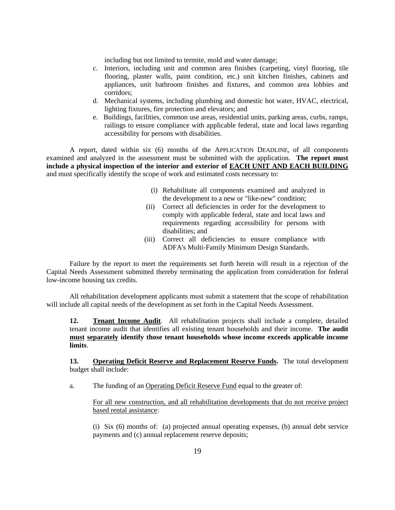including but not limited to termite, mold and water damage;

- c. Interiors, including unit and common area finishes (carpeting, vinyl flooring, tile flooring, plaster walls, paint condition, etc.) unit kitchen finishes, cabinets and appliances, unit bathroom finishes and fixtures, and common area lobbies and corridors;
- d. Mechanical systems, including plumbing and domestic hot water, HVAC, electrical, lighting fixtures, fire protection and elevators; and
- e. Buildings, facilities, common use areas, residential units, parking areas, curbs, ramps, railings to ensure compliance with applicable federal, state and local laws regarding accessibility for persons with disabilities.

A report, dated within six (6) months of the APPLICATION DEADLINE, of all components examined and analyzed in the assessment must be submitted with the application. **The report must include a physical inspection of the interior and exterior of EACH UNIT AND EACH BUILDING** and must specifically identify the scope of work and estimated costs necessary to:

- (i) Rehabilitate all components examined and analyzed in the development to a new or "like-new" condition;
- (ii) Correct all deficiencies in order for the development to comply with applicable federal, state and local laws and requirements regarding accessibility for persons with disabilities; and  $\overline{a}$
- (iii) Correct all deficiencies to ensure compliance with ADFA's Multi-Family Minimum Design Standards.

Failure by the report to meet the requirements set forth herein will result in a rejection of the Capital Needs Assessment submitted thereby terminating the application from consideration for federal low-income housing tax credits.

All rehabilitation development applicants must submit a statement that the scope of rehabilitation will include all capital needs of the development as set forth in the Capital Needs Assessment.

**12. Tenant Income Audit**. All rehabilitation projects shall include a complete, detailed tenant income audit that identifies all existing tenant households and their income. **The audit must separately identify those tenant households whose income exceeds applicable income limits**.

**13. Operating Deficit Reserve and Replacement Reserve Funds.** The total development budget shall include:

a. The funding of an Operating Deficit Reserve Fund equal to the greater of:

For all new construction, and all rehabilitation developments that do not receive project based rental assistance:

(i) Six (6) months of: (a) projected annual operating expenses, (b) annual debt service payments and (c) annual replacement reserve deposits;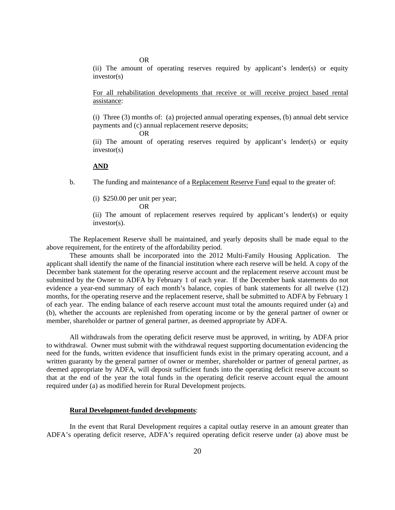OR

(ii) The amount of operating reserves required by applicant's lender(s) or equity investor(s) investor(s)

For all rehabilitation developments that receive or will receive project based rental assistance:

(i) Three (3) months of: (a) projected annual operating expenses, (b) annual debt service payments and (c) annual replacement reserve deposits;

OR

(ii) The amount of operating reserves required by applicant's lender(s) or equity investor(s)

#### **AND**

b. The funding and maintenance of a Replacement Reserve Fund equal to the greater of:

(i) \$250.00 per unit per year;

$$
OR
$$

(ii) The amount of replacement reserves required by applicant's lender(s) or equity  $investor(s)$ .

The Replacement Reserve shall be maintained, and yearly deposits shall be made equal to the above requirement, for the entirety of the affordability period.

These amounts shall be incorporated into the 2012 Multi-Family Housing Application. The applicant shall identify the name of the financial institution where each reserve will be held. A copy of the December bank statement for the operating reserve account and the replacement reserve account must be submitted by the Owner to ADFA by February 1 of each year. If the December bank statements do not evidence a year-end summary of each month's balance, copies of bank statements for all twelve (12) months, for the operating reserve and the replacement reserve, shall be submitted to ADFA by February 1 of each year. The ending balance of each reserve account must total the amounts required under (a) and (b), whether the accounts are replenished from operating income or by the general partner of owner or member, shareholder or partner of general partner, as deemed appropriate by ADFA.

All withdrawals from the operating deficit reserve must be approved, in writing, by ADFA prior to withdrawal. Owner must submit with the withdrawal request supporting documentation evidencing the need for the funds, written evidence that insufficient funds exist in the primary operating account, and a written guaranty by the general partner of owner or member, shareholder or partner of general partner, as deemed appropriate by ADFA, will deposit sufficient funds into the operating deficit reserve account so that at the end of the year the total funds in the operating deficit reserve account equal the amount required under (a) as modified herein for Rural Development projects.

#### **Rural Development-funded developments**:

In the event that Rural Development requires a capital outlay reserve in an amount greater than ADFA's operating deficit reserve, ADFA's required operating deficit reserve under (a) above must be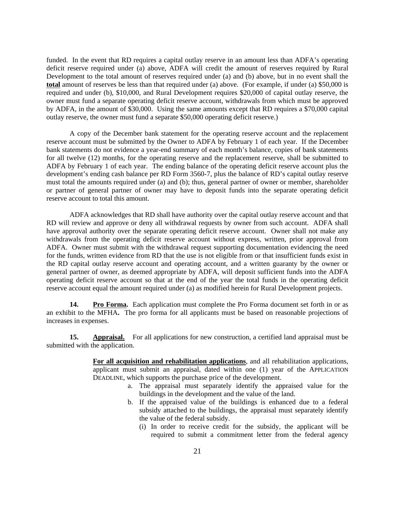funded. In the event that RD requires a capital outlay reserve in an amount less than ADFA's operating deficit reserve required under (a) above, ADFA will credit the amount of reserves required by Rural Development to the total amount of reserves required under (a) and (b) above, but in no event shall the **total** amount of reserves be less than that required under (a) above. (For example, if under (a) \$50,000 is required and under (b), \$10,000, and Rural Development requires \$20,000 of capital outlay reserve, the owner must fund a separate operating deficit reserve account, withdrawals from which must be approved by ADFA, in the amount of \$30,000. Using the same amounts except that RD requires a \$70,000 capital outlay reserve, the owner must fund a separate \$50,000 operating deficit reserve.)

A copy of the December bank statement for the operating reserve account and the replacement reserve account must be submitted by the Owner to ADFA by February 1 of each year. If the December bank statements do not evidence a year-end summary of each month's balance, copies of bank statements for all twelve (12) months, for the operating reserve and the replacement reserve, shall be submitted to ADFA by February 1 of each year. The ending balance of the operating deficit reserve account plus the development's ending cash balance per RD Form 3560-7, plus the balance of RD's capital outlay reserve must total the amounts required under (a) and (b); thus, general partner of owner or member, shareholder or partner of general partner of owner may have to deposit funds into the separate operating deficit reserve account to total this amount.

ADFA acknowledges that RD shall have authority over the capital outlay reserve account and that RD will review and approve or deny all withdrawal requests by owner from such account. ADFA shall have approval authority over the separate operating deficit reserve account. Owner shall not make any withdrawals from the operating deficit reserve account without express, written, prior approval from ADFA. Owner must submit with the withdrawal request supporting documentation evidencing the need for the funds, written evidence from RD that the use is not eligible from or that insufficient funds exist in the RD capital outlay reserve account and operating account, and a written guaranty by the owner or general partner of owner, as deemed appropriate by ADFA, will deposit sufficient funds into the ADFA operating deficit reserve account so that at the end of the year the total funds in the operating deficit reserve account equal the amount required under (a) as modified herein for Rural Development projects.

**14. Pro Forma.** Each application must complete the Pro Forma document set forth in or as an exhibit to the MFHA**.** The pro forma for all applicants must be based on reasonable projections of increases in expenses.

**15. Appraisal.** For all applications for new construction, a certified land appraisal must be submitted with the application.

> **For all acquisition and rehabilitation applications**, and all rehabilitation applications, applicant must submit an appraisal, dated within one (1) year of the APPLICATION DEADLINE, which supports the purchase price of the development.

- a. The appraisal must separately identify the appraised value for the buildings in the development and the value of the land.
- b. If the appraised value of the buildings is enhanced due to a federal subsidy attached to the buildings, the appraisal must separately identify the value of the federal subsidy.
	- (i) In order to receive credit for the subsidy, the applicant will be required to submit a commitment letter from the federal agency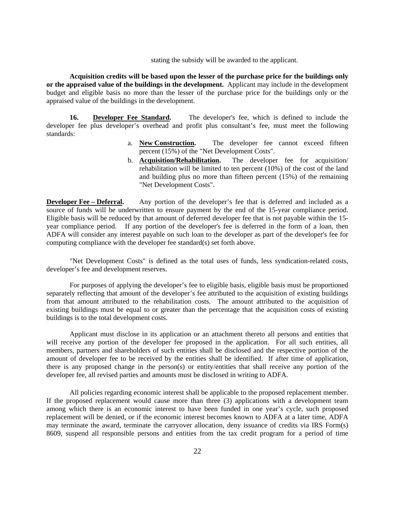stating the subsidy will be awarded to the applicant.

**Acquisition credits will be based upon the lesser of the purchase price for the buildings only or the appraised value of the buildings in the development.** Applicant may include in the development budget and eligible basis no more than the lesser of the purchase price for the buildings only or the appraised value of the buildings in the development.

**16. Developer Fee Standard.** The developer's fee, which is defined to include the developer fee plus developer's overhead and profit plus consultant's fee, must meet the following standards:

- a. **New Construction.** The developer fee cannot exceed fifteen percent (15%) of the "Net Development Costs".
- b. **Acquisition/Rehabilitation.** The developer fee for acquisition/ rehabilitation will be limited to ten percent  $(10\%)$  of the cost of the land and building plus no more than fifteen percent (15%) of the remaining "Net Development Costs".

**Developer Fee – Deferral.** Any portion of the developer's fee that is deferred and included as a source of funds will be underwritten to ensure payment by the end of the 15-year compliance period. Eligible basis will be reduced by that amount of deferred developer fee that is not payable within the 15 year compliance period. If any portion of the developer's fee is deferred in the form of a loan, then ADFA will consider any interest payable on such loan to the developer as part of the developer's fee for computing compliance with the developer fee standard(s) set forth above.

"Net Development Costs" is defined as the total uses of funds, less syndication-related costs, developer's fee and development reserves.

For purposes of applying the developer's fee to eligible basis, eligible basis must be proportioned separately reflecting that amount of the developer's fee attributed to the acquisition of existing buildings from that amount attributed to the rehabilitation costs. The amount attributed to the acquisition of existing buildings must be equal to or greater than the percentage that the acquisition costs of existing buildings is to the total development costs.

Applicant must disclose in its application or an attachment thereto all persons and entities that will receive any portion of the developer fee proposed in the application. For all such entities, all members, partners and shareholders of such entities shall be disclosed and the respective portion of the amount of developer fee to be received by the entities shall be identified. If after time of application, there is any proposed change in the person(s) or entity/entities that shallreceive any portion of the developer fee, all revised parties and amounts must be disclosed in writing to ADFA.

All policies regarding economic interest shall be applicable to the proposed replacement member. If the proposed replacement would cause more than three (3) applications with a development team among which there is an economic interest to have been funded in one year's cycle, such proposed replacement will be denied, or if the economic interest becomes known to ADFA at a later time, ADFA may terminate the award, terminate the carryover allocation, deny issuance of credits via IRS Form(s) 8609, suspend all responsible persons and entities from the tax credit program for a period of time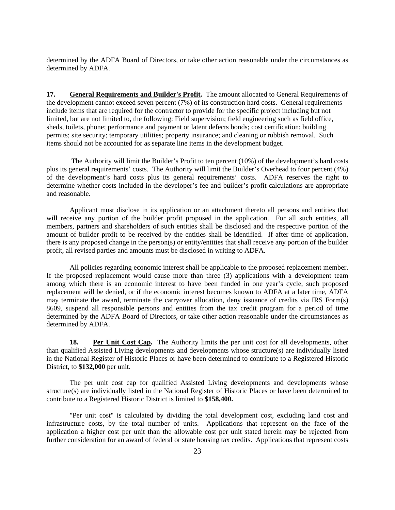determined by the ADFA Board of Directors, or take other action reasonable under the circumstances as determined by ADFA.

**17. General Requirements and Builder's Profit.** The amount allocated to General Requirements of the development cannot exceed seven percent (7%) of its construction hard costs. General requirements include items that are required for the contractor to provide for the specific project including but not limited, but are not limited to, the following: Field supervision; field engineering such as field office, sheds, toilets, phone; performance and payment or latent defects bonds; cost certification; building permits; site security; temporary utilities; property insurance; and cleaning or rubbish removal. Such items should not be accounted for as separate line items in the development budget.

The Authority will limit the Builder's Profit to ten percent (10%) of the development's hard costs plus its general requirements' costs. The Authority will limit the Builder's Overhead to four percent (4%) of the development's hard costs plus its general requirements' costs. ADFA reserves the right to determine whether costs included in the developer's fee and builder's profit calculations are appropriate and reasonable.

Applicant must disclose in its application or an attachment thereto all persons and entities that will receive any portion of the builder profit proposed in the application. For all such entities, all members, partners and shareholders of such entities shall be disclosed and the respective portion of the amount of builder profit to be received by the entities shall be identified. If after time of application, there is any proposed change in the person(s) or entity/entities that shall receive any portion of the builder profit, all revised parties and amounts must be disclosed in writing to ADFA.

All policies regarding economic interest shall be applicable to the proposed replacement member. If the proposed replacement would cause more than three (3) applications with a development team among which there is an economic interest to have been funded in one year's cycle, such proposed replacement will be denied, or if the economic interest becomes known to ADFA at a later time, ADFA may terminate the award, terminate the carryover allocation, deny issuance of credits via IRS Form(s) 8609, suspend all responsible persons and entities from the tax credit program for a period of time determined by the ADFA Board of Directors, or take other action reasonable under the circumstances as determined by ADFA.

**18. Per Unit Cost Cap.** The Authority limits the per unit cost for all developments, other than qualified Assisted Living developments and developments whose structure(s) are individually listed in the National Register of Historic Places or have been determined to contribute to a Registered Historic District, to **\$132,000** per unit.

The per unit cost cap for qualified Assisted Living developments and developments whose structure(s) are individually listed in the National Register of Historic Places or have been determined to

contribute to a Registered Historic District is limited to **\$158,400.** "Per unit cost" is calculated by dividing the total development cost, excluding land cost and infrastructure costs, by the total number of units. Applications that represent on the face of the application a higher cost per unit than the allowable cost per unit stated herein may be rejected from further consideration for an award of federal or state housing tax credits. Applications that represent costs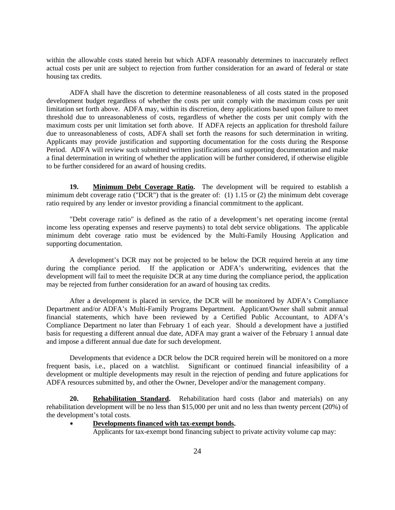within the allowable costs stated herein but which ADFA reasonably determines to inaccurately reflect actual costs per unit are subject to rejection from further consideration for an award of federal or state housing tax credits.

ADFA shall have the discretion to determine reasonableness of all costs stated in the proposed development budget regardless of whether the costs per unit comply with the maximum costs per unit limitation set forth above. ADFA may, within its discretion, deny applications based upon failure to meet threshold due to unreasonableness of costs, regardless of whether the costs per unit comply with the maximum costs per unit limitation set forth above. If ADFA rejects an application for threshold failure due to unreasonableness of costs, ADFA shall set forth the reasons for such determination in writing. Applicants may provide justification and supporting documentation for the costs during the Response Period. ADFA will review such submitted written justifications and supporting documentation and make a final determination in writing of whether the application will be further considered, if otherwise eligible to be further considered for an award of housing credits.

**19. Minimum Debt Coverage Ratio.** The development will be required to establish a minimum debt coverage ratio ("DCR") that is the greater of: (1) 1.15 or (2) the minimum debt coverage

ratio required by any lender or investor providing a financial commitment to the applicant. "Debt coverage ratio" is defined as the ratio of <sup>a</sup> development's net operating income (rental income less operating expenses and reserve payments) to total debt service obligations. The applicable minimum debt coverage ratio must be evidenced by the Multi-Family Housing Application and supporting documentation.

A development's DCR may not be projected to be below the DCR required herein at any time during the compliance period. If the application or ADFA's underwriting, evidences that the development will fail to meet the requisite DCR at any time during the compliance period, the application may be rejected from further consideration for an award of housing tax credits.

After a development is placed in service, the DCR will be monitored by ADFA's Compliance Department and/or ADFA's Multi-Family Programs Department. Applicant/Owner shall submit annual financial statements, which have been reviewed by a Certified Public Accountant, to ADFA's Compliance Department no later than February 1 of each year. Should a development have a justified basis for requesting a different annual due date, ADFA may grant a waiver of the February 1 annual date and impose a different annual due date for such development.

Developments that evidence a DCR below the DCR required herein will be monitored on a more frequent basis, i.e., placed on a watchlist. Significant or continued financial infeasibility of a development or multiple developments may result in the rejection of pending and future applications for ADFA resources submitted by, and other the Owner, Developer and/or the management company.

**20. Rehabilitation Standard.** Rehabilitation hard costs (labor and materials) on any rehabilitation development will be no less than \$15,000 per unit and no less than twenty percent (20%) of the development's total costs.

**Developments financed with tax-exempt bonds.**<br>Applicants for tax-exempt bond financing subject to private activity volume cap may: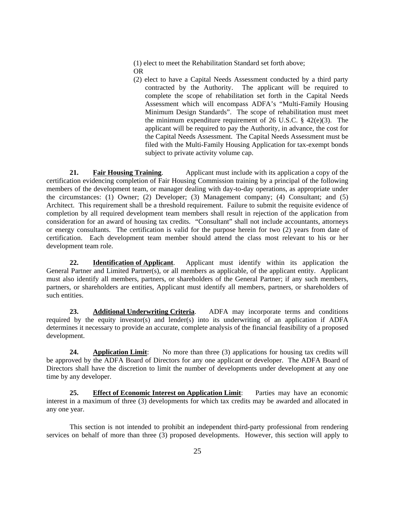(1) elect to meet the Rehabilitation Standard set forth above; OR

(2) elect to have a Capital Needs Assessment conducted by a third party contracted by the Authority. The applicant will be required to complete the scope of rehabilitation set forth in the Capital Needs Assessment which will encompass ADFA's "Multi-Family Housing Minimum Design Standards". The scope of rehabilitation must meet the minimum expenditure requirement of 26 U.S.C.  $\S$  42(e)(3). The applicant will be required to pay the Authority, in advance, the cost for the Capital Needs Assessment. The Capital Needs Assessment must be filed with the Multi-Family Housing Application for tax-exempt bonds subject to private activity volume cap.

**21. Fair Housing Training**. Applicant must include with its application a copy of the certification evidencing completion of Fair Housing Commission training by a principal of the following members of the development team, or manager dealing with day-to-day operations, as appropriate under the circumstances: (1) Owner; (2) Developer; (3) Management company; (4) Consultant; and (5) Architect. This requirement shall be a threshold requirement. Failure to submit the requisite evidence of completion by all required development team members shall result in rejection of the application from consideration for an award of housing tax credits. "Consultant" shall not include accountants, attorneys or energy consultants. The certification is valid for the purpose herein for two (2) years from date of certification. Each development team member should attend the class most relevant to his or her development team role.

**22. Identification of Applicant**. Applicant must identify within its application the General Partner and Limited Partner(s), or all members as applicable, of the applicant entity. Applicant must also identify all members, partners, or shareholders of the General Partner; if any such members, partners, or shareholders are entities, Applicant must identify all members, partners, or shareholders of such entities.

**23. Additional Underwriting Criteria**. ADFA may incorporate terms and conditions required by the equity investor(s) and lender(s) into its underwriting of an application if ADFA determines it necessary to provide an accurate, complete analysis of the financial feasibility of a proposed development.

**24. Application Limit**: No more than three (3) applications for housing tax credits will be approved by the ADFA Board of Directors for any one applicant or developer. The ADFA Board of Directors shall have the discretion to limit the number of developments under development at any one time by any developer.

**25. Effect of Economic Interest on Application Limit**: Parties may have an economic interest in a maximum of three (3) developments for which tax credits may be awarded and allocated in any one year.

This section is not intended to prohibit an independent third-party professional from rendering services on behalf of more than three  $(3)$  proposed developments. However, this section will apply to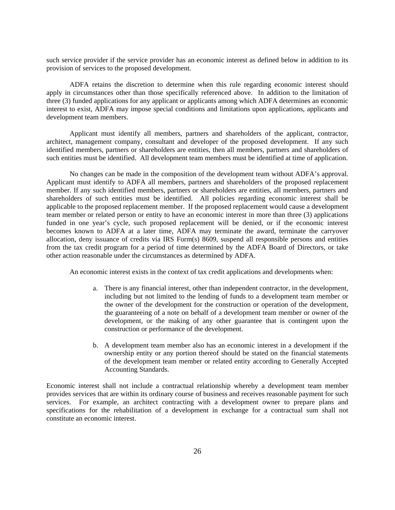such service provider if the service provider has an economic interest as defined below in addition to its provision of services to the proposed development.

ADFA retains the discretion to determine when this rule regarding economic interest should apply in circumstances other than those specifically referenced above. In addition to the limitation of three (3) funded applications for any applicant or applicants among which ADFA determines an economic interest to exist, ADFA may impose special conditions and limitations upon applications, applicants and development team members.

Applicant must identify all members, partners and shareholders of the applicant, contractor, architect, management company, consultant and developer of the proposed development. If any such identified members, partners or shareholders are entities, then all members, partners and shareholders of such entities must be identified. All development team members must be identified at time of application.

No changes can be made in the composition of the development team without ADFA's approval. Applicant must identify to ADFA all members, partners and shareholders of the proposed replacement member. If any such identified members, partners or shareholders are entities, all members, partners and shareholders of such entities must be identified. All policies regarding economic interest shall be applicable to the proposed replacement member. If the proposed replacement would cause a development team member or related person or entity to have an economic interest in more than three (3) applications funded in one year's cycle, such proposed replacement will be denied, or if the economic interest becomes known to ADFA at a later time, ADFA may terminate the award, terminate the carryover allocation, deny issuance of credits via IRS Form(s) 8609, suspend all responsible persons and entities from the tax credit program for a period of time determined by the ADFA Board of Directors, or take other action reasonable under the circumstances as determined by ADFA.

An economic interest exists in the context of tax credit applications and developments when:

- a. There is any financial interest, other than independent contractor, in the development, including but not limited to the lending of funds to a development team member or the owner of the development for the construction oroperation of the development, the guaranteeing of a note on behalf of a development team member or owner of the development, or the making of any other guarantee that is contingent upon the construction or performance of the development.
- b. A development team member also has an economic interest in a development if the ownership entity or any portion thereof should be stated on the financial statements of the development team member or related entity according to Generally Accepted Accounting Standards.

Economic interest shall not include a contractual relationship whereby a development team member provides services that are within its ordinary course of business and receives reasonable payment for such services. For example, an architect contracting with a development owner to prepare plans and specifications for the rehabilitation of a development in exchange for a contractual sum shall not constitute an economic interest.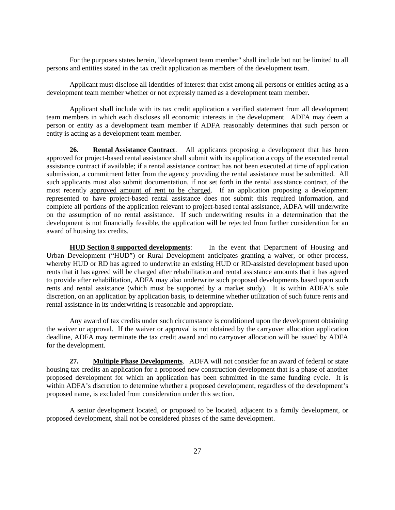For the purposes states herein, "development team member" shall include but not be limited to all persons and entities stated in the tax credit application as members of the development team.

Applicant must disclose all identities of interest that exist among all persons or entities acting as a development team member whether or not expressly named as a development team member.

Applicant shall include with its tax credit application a verified statement from all development team members in which each discloses all economic interests in the development. ADFA may deem a person or entity as a development team member if ADFA reasonably determines that such person or entity is acting as a development team member.

**26. Rental Assistance Contract**. All applicants proposing a development that has been approved for project-based rental assistance shall submit with its application a copy of the executed rental assistance contract if available; if a rental assistance contract has not been executed attime of application submission, a commitment letter from the agency providing the rental assistance must be submitted. All such applicants must also submit documentation, if not set forth in the rental assistance contract, of the most recently approved amount of rent to be charged. If an application proposing a development represented to have project-based rental assistance does not submit this required information, and complete all portions of the application relevant to project-based rental assistance, ADFA will underwrite on the assumption of no rental assistance. If such underwriting results in a determination that the development is not financially feasible, the application will be rejected from further consideration for an award of housing tax credits.

**HUD Section 8 supported developments**: In the event that Department of Housing and Urban Development ("HUD") or Rural Development anticipates granting a waiver, or other process, whereby HUD or RD has agreed to underwrite an existing HUD or RD-assisted development based upon rents that it has agreed will be charged after rehabilitation and rental assistance amounts that it has agreed to provide after rehabilitation, ADFA may also underwrite such proposed developments based upon such rents and rental assistance (which must be supported by a market study). It is within ADFA's sole discretion, on an application by application basis, to determine whether utilization of such future rents and rental assistance in its underwriting is reasonable and appropriate.

Any award of tax credits under such circumstance is conditioned upon the development obtaining the waiver or approval. If the waiver or approval is not obtained by the carryover allocation application deadline, ADFA may terminate the tax credit award and no carryover allocation will be issued by ADFA for the development.

**27. Multiple Phase Developments**. ADFA will not consider for an award of federal or state housing tax credits an application for a proposed new construction development that is a phase of another proposed development for which an application has been submitted in the same funding cycle. It is within ADFA's discretion to determine whether a proposed development, regardless of the development's proposed name, is excluded from consideration under this section.

A senior development located, or proposed to be located, adjacent to a family development, or proposed development, shall not be considered phases of the same development.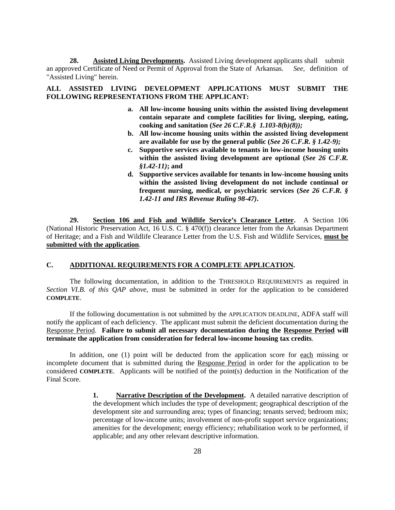**28. Assisted Living Developments.** Assisted Living development applicants shall submit an approved Certificate of Need or Permit of Approval from the State of Arkansas. *See,* definition of "Assisted Living" herein.

#### **ALL ASSISTED LIVING DEVELOPMENT APPLICATIONS MUST SUBMIT THE FOLLOWING REPRESENTATIONS FROM THE APPLICANT:**

- **a. All low-income housing units within the assisted living development contain separate and complete facilities for living, sleeping, eating, cooking and sanitation (***See 26 C.F.R.§ 1.103-8(b)(8));*
- **b. All low-income housing units within the assisted living development are available for use by the general public (***See 26 C.F.R. § 1.42-9);*
- **c. Supportive services available to tenants in low-income housing units within the assisted living development are optional (***See 26 C.F.R. §1.42-11)***; and**
- **d. Supportive services available for tenants in low-income housing units within the assisted living development do not include continual or frequent nursing, medical, or psychiatric services (***See 26 C.F.R. § 1.42-11 and IRS Revenue Ruling 98-47)***.**

**29. Section 106 and Fish and Wildlife Service's Clearance Letter.** A Section 106 (National Historic Preservation Act, 16 U.S. C.  $\S$  470(f)) clearance letter from the Arkansas Department of Heritage; and a Fish and Wildlife Clearance Letter from the U.S. Fish and Wildlife Services, **must be submitted with the application**.

#### **C. ADDITIONAL REQUIREMENTS FOR A COMPLETE APPLICATION.**

The following documentation, in addition to the THRESHOLD REQUIREMENTS as required in *Section VI.B. of this QAP above*, must be submitted in order for the application to be considered

**COMPLETE.**<br>If the following documentation is not submitted by the APPLICATION DEADLINE, ADFA staff will notify the applicant of each deficiency. The applicant must submit the deficient documentation during the Response Period. **Failure to submit all necessary documentation during the Response Period will** 

**terminate the application from consideration for federal low-income housing tax credits.**<br>In addition, one (1) point will be deducted from the application score for <u>each</u> missing or incomplete document that is submitted during the Response Period in order for the application to be considered **COMPLETE**. Applicants will be notified of the point(s) deduction in the Notification of the Final Score.

**1. Narrative Description of the Development.** A detailed narrative description of the development which includes the type of development; geographical description of the development site and surrounding area; types of financing; tenants served; bedroom mix; percentage of low-income units; involvement of non-profit support service organizations; amenities for the development; energy efficiency; rehabilitation work to be performed, if applicable; and any other relevant descriptive information.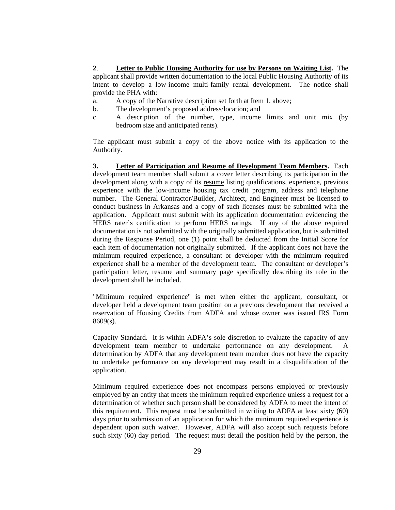**2**. **Letter to Public Housing Authority for use by Persons on Waiting List.** The applicant shall provide written documentation to the local Public Housing Authority of its intent to develop a low-income multi-family rental development. The notice shall provide the PHA with:

- a. A copy of the Narrative description set forth at Item 1. above;
- b. The development's proposed address/location; and
- c. A description of the number, type, income limits and unit mix (by bedroom size and anticipated rents).

The applicant must submit a copy of the above notice with its application to the Authority.

**3. Letter of Participation and Resume of Development Team Members.** Each development team member shall submit a cover letter describing its participation in the development along with a copy of its resume listing qualifications, experience, previous experience with the low-income housing tax credit program, address and telephone number. The General Contractor/Builder, Architect, and Engineer must be licensed to conduct business in Arkansas and a copy of such licenses must be submitted with the application. Applicant must submit with its application documentation evidencing the HERS rater's certification to perform HERS ratings. If any of the above required documentation is not submitted with the originally submitted application, but is submitted during the Response Period, one (1) point shall be deducted from the Initial Score for each item of documentation not originally submitted. If the applicant does not have the minimum required experience, a consultant or developer with the minimum required experience shall be a member of the development team. The consultant or developer's participation letter, resume and summary page specifically describing its role in the

development shall be included.<br>"<u>Minimum required experience</u>" is met when either the applicant, consultant, or developer held a development team position on a previous development that received a reservation of Housing Credits from ADFA and whose owner was issued IRS Form  $8609(s)$ .

Capacity Standard. It is within ADFA's sole discretion to evaluate the capacity of any development team member to undertake performance on any development. A determination by ADFA that any development team member does not have the capacity to undertake performance on any development may result in a disqualification of the application.

Minimum required experience does not encompass persons employed or previously employed by an entity that meets the minimum required experience unless a request for a determination of whether such person shall be considered by ADFA to meet the intent of this requirement. This request must be submitted in writing to ADFA at least sixty (60) days prior to submission of an application for which the minimum required experience is dependent upon such waiver. However, ADFA will also accept such requests before such sixty (60) day period. The request must detail the position held by the person, the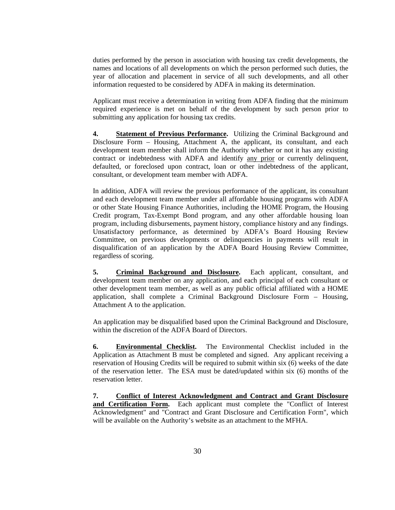duties performed by the person in association with housing tax credit developments, the names and locations of all developments on which the person performed such duties, the year of allocation and placement in service of all such developments, and all other information requested to be considered by ADFA in making its determination.

Applicant must receive a determination in writing from ADFA finding that the minimum required experience is met on behalf of the development by such person prior to submitting any application for housing tax credits.

**4. Statement of Previous Performance.** Utilizing the Criminal Background and Disclosure Form – Housing, Attachment A, the applicant, its consultant, and each development team member shall inform the Authority whether or not it has any existing contract or indebtedness with ADFA and identify <u>any prior</u> or currently delinquent, defaulted, or foreclosed upon contract, loan or other indebtedness of the applicant, consultant, or development team member with ADFA.

In addition, ADFA will review the previous performance of the applicant, its consultant and each development team member under all affordable housing programs with ADFA or other State Housing Finance Authorities, including the HOME Program, the Housing Credit program, Tax-Exempt Bond program, and any other affordable housing loan program, including disbursements, payment history, compliance history and any findings. Unsatisfactory performance, as determined by ADFA's Board Housing Review Committee, on previous developments or delinquencies in payments will result in disqualification of an application by the ADFA Board Housing Review Committee, regardless of scoring.

**5. Criminal Background and Disclosure.** Each applicant, consultant, and development team member on any application, and each principal of each consultant or other development team member, as well as any public official affiliated with a HOME application, shall complete a Criminal Background Disclosure Form – Housing, Attachment A to the application.

An application may be disqualified based upon the Criminal Background and Disclosure, within the discretion of the ADFA Board of Directors.

**6. Environmental Checklist.** The Environmental Checklist included in the Application as Attachment B must be completed and signed. Any applicant receiving a reservation of Housing Credits will be required to submit within six (6) weeks of the date of the reservation letter. The ESA must be dated/updated within six (6) months of the reservation letter.

**7. Conflict of Interest Acknowledgment and Contract and Grant Disclosure and Certification Form.** Each applicant must complete the "Conflict of Interest Acknowledgment" and "Contract and Grant Disclosure and Certification Form", which will be available on the Authority's website as an attachment to the MFHA.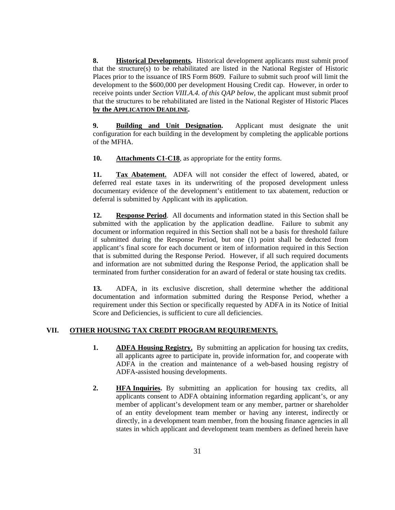**8. Historical Developments.** Historical development applicants must submit proof that the structure(s) to be rehabilitated are listed in the National Register of Historic Places prior to the issuance of IRS Form 8609. Failure to submit such proof will limit the development to the \$600,000 per development Housing Credit cap. However, in order to receive points under *Section VIII.A.4. of this QAP below,* the applicant must submit proof that the structures to be rehabilitated are listed in the National Register of Historic Places

**by the APPLICATION DEADLINE. 9. Building and Unit Designation.** Applicant must designate the unit configuration for each building in the development by completing the applicable portions of the MFHA.

**10. Attachments C1-C18**, as appropriate for the entity forms.

**11. Tax Abatement.** ADFA will not consider the effect of lowered,abated, or deferred real estate taxes in its underwriting of the proposed development unless documentary evidence of the development's entitlement to tax abatement, reduction or deferral is submitted by Applicant with its application.

**12. Response Period**. All documents and information stated in this Section shall be submitted with the application by the application deadline. Failure to submit any document or information required in this Section shall not be a basis for threshold failure if submitted during the Response Period, but one (1) point shall be deducted from applicant's final score for each document or item of information required in this Section that is submitted during the Response Period. However, if all such required documents and information are not submitted during the Response Period, the application shall be terminated from further consideration for an award of federal or state housing tax credits.

**13.** ADFA, in its exclusive discretion, shall determine whether the additional documentation and information submitted during the Response Period, whether a requirement under this Section or specifically requested by ADFA in its Notice of Initial Score and Deficiencies, is sufficient to cure all deficiencies.

#### **VII. OTHER HOUSING TAX CREDIT PROGRAM REQUIREMENTS.**

- **1. ADFA Housing Registry.** By submitting an application for housing tax credits, all applicants agree to participate in, provide information for, and cooperate with ADFA in the creation and maintenance of a web-based housing registry of ADFA-assisted housing developments.
- **2. HFA Inquiries.** By submitting an application for housing tax credits, all applicants consent to ADFA obtaining information regarding applicant's, or any member of applicant's development team or any member, partner or shareholder of an entity development team member or having any interest, indirectly or directly, in a development team member, from the housing finance agencies in all states in which applicant and development team members as defined herein have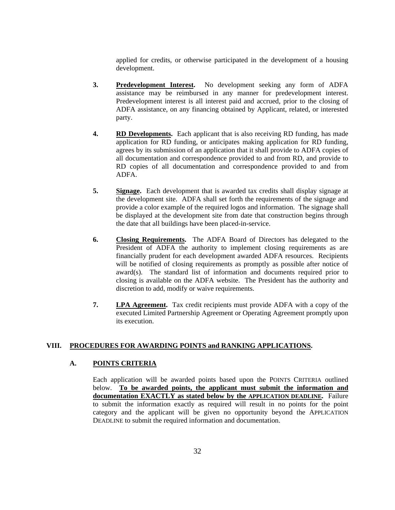applied for credits, or otherwise participated in the development of a housing development.

- **3. Predevelopment Interest.** No development seeking any form of ADFA assistance may be reimbursed in any manner for predevelopment interest. Predevelopment interest is all interest paid and accrued, prior to the closing of ADFA assistance, on any financing obtained by Applicant, related, or interested party.
- **4. RD Developments.** Each applicant that is also receiving RD funding, has made application for RD funding, or anticipates making application for RD funding, agrees by its submission of an application that it shall provide to ADFA copies of all documentation and correspondence provided to and from RD, and provide to RD copies of all documentation and correspondence provided to and from ADFA.
- **5. Signage.** Each development that is awarded tax credits shall display signage at the development site. ADFA shall set forth the requirements of the signage and provide a color example of the required logos and information. The signage shall be displayed at the development site from date that construction begins through the date that all buildings have been placed-in-service.
- **6. Closing Requirements.** The ADFA Board of Directors has delegated to the President of ADFA the authority to implement closing requirements as are financially prudent for each development awarded ADFA resources. Recipients will be notified of closing requirements as promptly as possible after notice of award(s). The standard list of information and documents required prior to closing is available on the ADFA website. The President has the authority and discretion to add, modify or waive requirements.
- **7. LPA Agreement.** Tax credit recipients must provide ADFA with a copy of the executed Limited Partnership Agreement or Operating Agreement promptly upon its execution.

#### **VIII. PROCEDURES FOR AWARDING POINTS and RANKING APPLICATIONS.**

#### **A. POINTS CRITERIA**

Each application will be awarded points based upon the POINTS CRITERIA outlined below. **To be awarded points, the applicant must submit the information and documentation EXACTLY as stated below by the APPLICATION DEADLINE.** Failure to submit the information exactly as required will result in no points forthe point category and the applicant will be given no opportunity beyond the APPLICATION DEADLINE to submit the required information and documentation.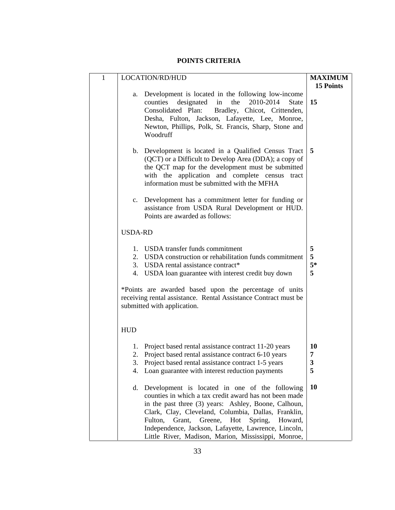#### **POINTS CRITERIA**

| LOCATION/RD/HUD                                                         | <b>MAXIMUM</b> |
|-------------------------------------------------------------------------|----------------|
|                                                                         | 15 Points      |
| a. Development is located in the following low-income                   |                |
| counties designated in the $2010-2014$ State 15                         |                |
| Consolidated Plan: Bradley, Chicot, Crittenden,                         |                |
| Desha, Fulton, Jackson, Lafayette, Lee, Monroe,                         |                |
| Newton, Phillips, Polk, St. Francis, Sharp, Stone and                   |                |
| Woodruff                                                                |                |
|                                                                         |                |
| b. Development is located in a Qualified Census Tract $\vert 5 \vert$   |                |
| (QCT) or a Difficult to Develop Area (DDA); a copy of $\vert$           |                |
| the QCT map for the development must be submitted                       |                |
| with the application and complete census tract                          |                |
| information must be submitted with the MFHA                             |                |
|                                                                         |                |
| c. Development has a commitment letter for funding or                   |                |
| assistance from USDA Rural Development or HUD.                          |                |
| Points are awarded as follows:                                          |                |
|                                                                         |                |
| USDA-RD                                                                 |                |
|                                                                         |                |
| 1. USDA transfer funds commitment                                       |                |
| 2. USDA construction or rehabilitation funds commitment $\vert 5 \vert$ |                |
| 3. USDA rental assistance contract*                                     |                |
| 4. USDA loan guarantee with interest credit buy down                    |                |
|                                                                         |                |
| *Points are awarded based upon the percentage of units                  |                |
| receiving rental assistance. Rental Assistance Contract must be         |                |
| submitted with application.                                             |                |
|                                                                         |                |
|                                                                         |                |
| <b>HUD</b>                                                              |                |
|                                                                         |                |
| 1. Project based rental assistance contract 11-20 years                 |                |
| 2. Project based rental assistance contract 6-10 years                  |                |
| 3. Project based rental assistance contract 1-5 years                   |                |
| 4. Loan guarantee with interest reduction payments                      |                |
|                                                                         |                |
| d. Development is located in one of the following $\vert 10 \vert$      |                |
| counties in which a tax credit award has not been made                  |                |
| in the past three (3) years: Ashley, Boone, Calhoun,                    |                |
| Clark, Clay, Cleveland, Columbia, Dallas, Franklin,                     |                |
| Fulton, Grant, Greene, Hot Spring, Howard,                              |                |
| Independence, Jackson, Lafayette, Lawrence, Lincoln,                    |                |
| Little River, Madison, Marion, Mississippi, Monroe,                     |                |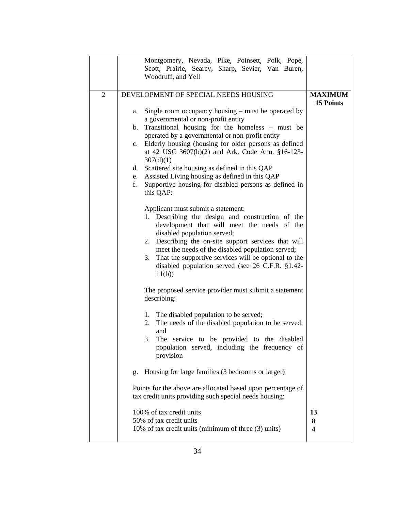| Montgomery, Nevada, Pike, Poinsett, Polk, Pope,                                                   |                |  |  |  |
|---------------------------------------------------------------------------------------------------|----------------|--|--|--|
| Scott, Prairie, Searcy, Sharp, Sevier, Van Buren,                                                 |                |  |  |  |
| Woodruff, and Yell                                                                                |                |  |  |  |
|                                                                                                   |                |  |  |  |
| DEVELOPMENT OF SPECIAL NEEDS HOUSING                                                              | <b>MAXIMUM</b> |  |  |  |
|                                                                                                   | 15 Points      |  |  |  |
| a. Single room occupancy housing – must be operated by $\vert$                                    |                |  |  |  |
| a governmental or non-profit entity                                                               |                |  |  |  |
| b. Transitional housing for the homeless $-$ must be                                              |                |  |  |  |
| operated by a governmental or non-profit entity                                                   |                |  |  |  |
| c. Elderly housing (housing for older persons as defined                                          |                |  |  |  |
| at 42 USC 3607(b)(2) and Ark. Code Ann. §16-123-                                                  |                |  |  |  |
| 307(d)(1)                                                                                         |                |  |  |  |
| d. Scattered site housing as defined in this QAP                                                  |                |  |  |  |
| e. Assisted Living housing as defined in this QAP                                                 |                |  |  |  |
| f. Supportive housing for disabled persons as defined in $\vert$                                  |                |  |  |  |
| this QAP:                                                                                         |                |  |  |  |
|                                                                                                   |                |  |  |  |
| Applicant must submit a statement:                                                                |                |  |  |  |
| 1. Describing the design and construction of the                                                  |                |  |  |  |
| development that will meet the needs of the                                                       |                |  |  |  |
| disabled population served;                                                                       |                |  |  |  |
| 2. Describing the on-site support services that will                                              |                |  |  |  |
| meet the needs of the disabled population served;                                                 |                |  |  |  |
| 3. That the supportive services will be optional to the $\vert$                                   |                |  |  |  |
| disabled population served (see $26$ C.F.R. §1.42-                                                |                |  |  |  |
| 11(b)                                                                                             |                |  |  |  |
|                                                                                                   |                |  |  |  |
| The proposed service provider must submit a statement                                             |                |  |  |  |
| describing:                                                                                       |                |  |  |  |
|                                                                                                   |                |  |  |  |
| 1. The disabled population to be served;<br>2. The needs of the disabled population to be served; |                |  |  |  |
| and                                                                                               |                |  |  |  |
| 3. The service to be provided to the disabled $\vert$                                             |                |  |  |  |
| population served, including the frequency of                                                     |                |  |  |  |
| provision                                                                                         |                |  |  |  |
|                                                                                                   |                |  |  |  |
| g. Housing for large families (3 bedrooms or larger)                                              |                |  |  |  |
|                                                                                                   |                |  |  |  |
| Points for the above are allocated based upon percentage of                                       |                |  |  |  |
| tax credit units providing such special needs housing:                                            |                |  |  |  |
|                                                                                                   |                |  |  |  |
| 100% of tax credit units                                                                          | 13             |  |  |  |
| 50% of tax credit units                                                                           |                |  |  |  |
| 10% of tax credit units (minimum of three (3) units)                                              |                |  |  |  |
|                                                                                                   |                |  |  |  |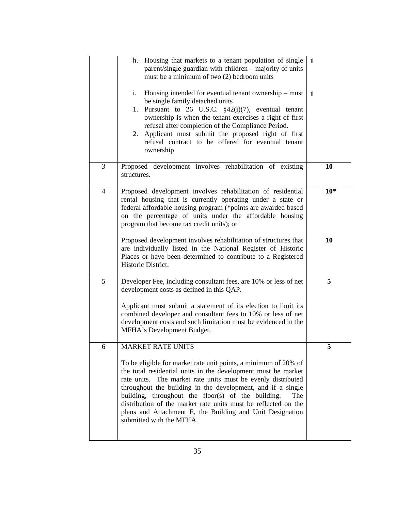|   | h. Housing that markets to a tenant population of single $\vert 1 \vert$ |                |
|---|--------------------------------------------------------------------------|----------------|
|   | parent/single guardian with children – majority of units $\vert$         |                |
|   | must be a minimum of two (2) bedroom units                               |                |
|   |                                                                          |                |
|   | i. Housing intended for eventual tenant ownership – must $\boxed{1}$     |                |
|   | be single family detached units                                          |                |
|   | 1. Pursuant to 26 U.S.C. $\frac{2}{3}42(i)(7)$ , eventual tenant         |                |
|   | ownership is when the tenant exercises a right of first                  |                |
|   | refusal after completion of the Compliance Period.                       |                |
|   | 2. Applicant must submit the proposed right of first                     |                |
|   | refusal contract to be offered for eventual tenant                       |                |
|   | ownership                                                                |                |
|   |                                                                          |                |
|   | Proposed development involves rehabilitation of existing                 | 10             |
|   | structures.                                                              |                |
|   |                                                                          |                |
|   | Proposed development involves rehabilitation of residential              | $10*$          |
|   | rental housing that is currently operating under a state or              |                |
|   | federal affordable housing program (*points are awarded based            |                |
|   | on the percentage of units under the affordable housing                  |                |
|   | program that become tax credit units); or                                |                |
|   |                                                                          |                |
|   | Proposed development involves rehabilitation of structures that          | 10             |
|   | are individually listed in the National Register of Historic             |                |
|   | Places or have been determined to contribute to a Registered             |                |
|   | Historic District.                                                       |                |
|   |                                                                          |                |
|   |                                                                          |                |
|   | Developer Fee, including consultant fees, are 10% or less of net         | 5 <sup>5</sup> |
|   | development costs as defined in this QAP.                                |                |
|   |                                                                          |                |
|   | Applicant must submit a statement of its election to limit its           |                |
|   | combined developer and consultant fees to 10% or less of net             |                |
|   | development costs and such limitation must be evidenced in the           |                |
|   | MFHA's Development Budget.                                               |                |
|   |                                                                          |                |
| 6 | MARKET RATE UNITS                                                        |                |
|   |                                                                          |                |
|   | To be eligible for market rate unit points, a minimum of 20% of          |                |
|   | the total residential units in the development must be market            |                |
|   | rate units. The market rate units must be evenly distributed             |                |
|   | throughout the building in the development, and if a single              |                |
|   | building, throughout the floor(s) of the building. The                   |                |
|   | distribution of the market rate units must be reflected on the           |                |
|   | plans and Attachment E, the Building and Unit Designation                |                |
|   | submitted with the MFHA.                                                 |                |
|   |                                                                          |                |
|   |                                                                          |                |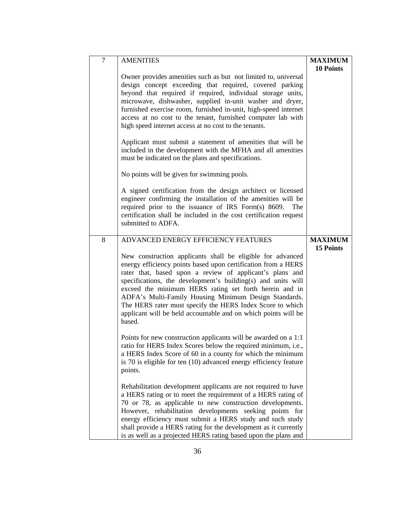| <b>AMENITIES</b>                                                  | <b>MAXIMUM</b>   |
|-------------------------------------------------------------------|------------------|
|                                                                   |                  |
|                                                                   | <b>10 Points</b> |
| Owner provides amenities such as but not limited to, universal    |                  |
| design concept exceeding that required, covered parking           |                  |
| beyond that required if required, individual storage units,       |                  |
| microwave, dishwasher, supplied in-unit washer and dryer,         |                  |
| furnished exercise room, furnished in-unit, high-speed internet   |                  |
| access at no cost to the tenant, furnished computer lab with      |                  |
| high speed internet access at no cost to the tenants.             |                  |
|                                                                   |                  |
| Applicant must submit a statement of amenities that will be       |                  |
| included in the development with the MFHA and all amenities       |                  |
| must be indicated on the plans and specifications.                |                  |
|                                                                   |                  |
|                                                                   |                  |
| No points will be given for swimming pools.                       |                  |
|                                                                   |                  |
| A signed certification from the design architect or licensed      |                  |
| engineer confirming the installation of the amenities will be     |                  |
| required prior to the issuance of IRS Form(s) 8609. The           |                  |
| certification shall be included in the cost certification request |                  |
| submitted to ADFA.                                                |                  |
|                                                                   |                  |
| ADVANCED ENERGY EFFICIENCY FEATURES                               | <b>MAXIMUM</b>   |
|                                                                   | 15 Points        |
| New construction applicants shall be eligible for advanced        |                  |
| energy efficiency points based upon certification from a HERS     |                  |
| rater that, based upon a review of applicant's plans and          |                  |
|                                                                   |                  |
| specifications, the development's building(s) and units will      |                  |
| exceed the minimum HERS rating set forth herein and in            |                  |
| ADFA's Multi-Family Housing Minimum Design Standards.             |                  |
| The HERS rater must specify the HERS Index Score to which         |                  |
| applicant will be held accountable and on which points will be    |                  |
| based.                                                            |                  |
|                                                                   |                  |
| Points for new construction applicants will be awarded on a 1:1   |                  |
| ratio for HERS Index Scores below the required minimum, i.e.,     |                  |
| a HERS Index Score of 60 in a county for which the minimum        |                  |
| is 70 is eligible for ten (10) advanced energy efficiency feature |                  |
| points.                                                           |                  |
|                                                                   |                  |
| Rehabilitation development applicants are not required to have    |                  |
|                                                                   |                  |
| a HERS rating or to meet the requirement of a HERS rating of      |                  |
| 70 or 78, as applicable to new construction developments.         |                  |
| However, rehabilitation developments seeking points for           |                  |
| energy efficiency must submit a HERS study and such study         |                  |
| shall provide a HERS rating for the development as it currently   |                  |
| is as well as a projected HERS rating based upon the plans and    |                  |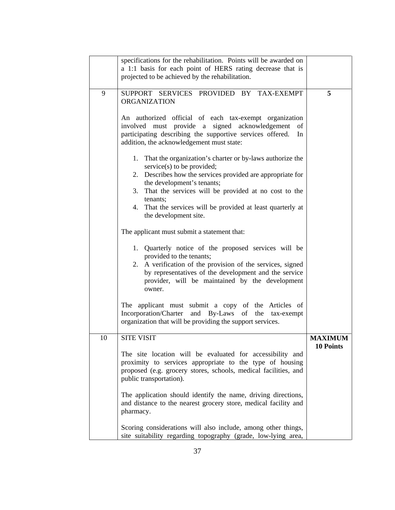| specifications for the rehabilitation. Points will be awarded on                                                 |                  |
|------------------------------------------------------------------------------------------------------------------|------------------|
| a 1:1 basis for each point of HERS rating decrease that is                                                       |                  |
| projected to be achieved by the rehabilitation.                                                                  |                  |
|                                                                                                                  |                  |
| SUPPORT SERVICES PROVIDED BY TAX-EXEMPT                                                                          |                  |
| ORGANIZATION                                                                                                     |                  |
| An authorized official of each tax-exempt organization                                                           |                  |
| involved must provide a signed acknowledgement of                                                                |                  |
| participating describing the supportive services offered. In                                                     |                  |
| addition, the acknowledgement must state:                                                                        |                  |
|                                                                                                                  |                  |
| 1. That the organization's charter or by-laws authorize the                                                      |                  |
| service(s) to be provided;                                                                                       |                  |
| 2. Describes how the services provided are appropriate for                                                       |                  |
| the development's tenants;                                                                                       |                  |
| 3. That the services will be provided at no cost to the                                                          |                  |
| tenants:                                                                                                         |                  |
| 4. That the services will be provided at least quarterly at                                                      |                  |
| the development site.                                                                                            |                  |
| The applicant must submit a statement that:                                                                      |                  |
|                                                                                                                  |                  |
| 1. Quarterly notice of the proposed services will be                                                             |                  |
| provided to the tenants;                                                                                         |                  |
| 2. A verification of the provision of the services, signed                                                       |                  |
| by representatives of the development and the service                                                            |                  |
| provider, will be maintained by the development                                                                  |                  |
| owner.                                                                                                           |                  |
|                                                                                                                  |                  |
| The applicant must submit a copy of the Articles of                                                              |                  |
| Incorporation/Charter and By-Laws of the tax-exempt<br>organization that will be providing the support services. |                  |
|                                                                                                                  |                  |
| <b>SITE VISIT</b><br>10                                                                                          | <b>MAXIMUM</b>   |
|                                                                                                                  | <b>10 Points</b> |
| The site location will be evaluated for accessibility and                                                        |                  |
| proximity to services appropriate to the type of housing                                                         |                  |
| proposed (e.g. grocery stores, schools, medical facilities, and                                                  |                  |
| public transportation).                                                                                          |                  |
|                                                                                                                  |                  |
| The application should identify the name, driving directions,                                                    |                  |
| and distance to the nearest grocery store, medical facility and                                                  |                  |
| pharmacy.                                                                                                        |                  |
| Scoring considerations will also include, among other things,                                                    |                  |
| site suitability regarding topography (grade, low-lying area,                                                    |                  |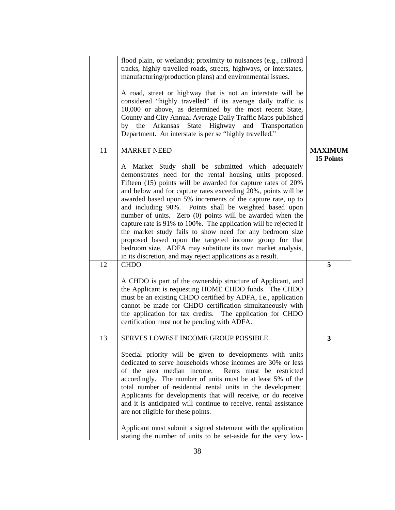|        | flood plain, or wetlands); proximity to nuisances (e.g., railroad  |                |
|--------|--------------------------------------------------------------------|----------------|
|        | tracks, highly travelled roads, streets, highways, or interstates, |                |
|        | manufacturing/production plans) and environmental issues.          |                |
|        |                                                                    |                |
|        | A road, street or highway that is not an interstate will be        |                |
|        | considered "highly travelled" if its average daily traffic is      |                |
|        | 10,000 or above, as determined by the most recent State,           |                |
|        | County and City Annual Average Daily Traffic Maps published        |                |
|        | by the Arkansas State Highway and Transportation                   |                |
|        | Department. An interstate is per se "highly travelled."            |                |
|        |                                                                    |                |
| $\Box$ | <b>MARKET NEED</b>                                                 | <b>MAXIMUM</b> |
|        |                                                                    | 15 Points      |
|        | A Market Study shall be submitted which adequately                 |                |
|        | demonstrates need for the rental housing units proposed.           |                |
|        | Fifteen (15) points will be awarded for capture rates of 20%       |                |
|        | and below and for capture rates exceeding 20%, points will be      |                |
|        |                                                                    |                |
|        | awarded based upon 5% increments of the capture rate, up to        |                |
|        | and including 90%. Points shall be weighted based upon             |                |
|        | number of units. Zero (0) points will be awarded when the          |                |
|        | capture rate is 91% to 100%. The application will be rejected if   |                |
|        | the market study fails to show need for any bedroom size           |                |
|        | proposed based upon the targeted income group for that             |                |
|        | bedroom size. ADFA may substitute its own market analysis,         |                |
|        | in its discretion, and may reject applications as a result.        |                |
|        | $12$ CHDO                                                          |                |
|        |                                                                    |                |
|        | A CHDO is part of the ownership structure of Applicant, and        |                |
|        | the Applicant is requesting HOME CHDO funds. The CHDO              |                |
|        | must be an existing CHDO certified by ADFA, i.e., application      |                |
|        | cannot be made for CHDO certification simultaneously with          |                |
|        | the application for tax credits. The application for CHDO          |                |
|        | certification must not be pending with ADFA.                       |                |
|        |                                                                    |                |
|        | <b>SERVES LOWEST INCOME GROUP POSSIBLE</b>                         |                |
|        |                                                                    |                |
|        | Special priority will be given to developments with units          |                |
|        | dedicated to serve households whose incomes are 30% or less        |                |
|        | of the area median income. Rents must be restricted                |                |
|        | accordingly. The number of units must be at least 5% of the        |                |
|        | total number of residential rental units in the development.       |                |
|        | Applicants for developments that will receive, or do receive       |                |
|        | and it is anticipated will continue to receive, rental assistance  |                |
|        | are not eligible for these points.                                 |                |
|        |                                                                    |                |
|        | Applicant must submit a signed statement with the application      |                |
|        | stating the number of units to be set-aside for the very low-      |                |
|        |                                                                    |                |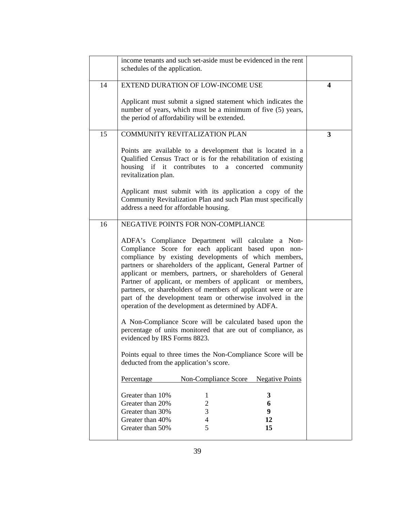| <b>EXTEND DURATION OF LOW-INCOME USE</b><br>14<br>Applicant must submit a signed statement which indicates the<br>number of years, which must be a minimum of five (5) years,<br>the period of affordability will be extended.<br>COMMUNITY REVITALIZATION PLAN<br>15<br>Points are available to a development that is located in a<br>Qualified Census Tract or is for the rehabilitation of existing<br>housing if it contributes to a concerted community<br>revitalization plan.<br>Applicant must submit with its application a copy of the<br>Community Revitalization Plan and such Plan must specifically<br>address a need for affordable housing.<br>NEGATIVE POINTS FOR NON-COMPLIANCE<br>ADFA's Compliance Department will calculate a Non-<br>Compliance Score for each applicant based upon non-<br>compliance by existing developments of which members,<br>partners or shareholders of the applicant, General Partner of<br>applicant or members, partners, or shareholders of General<br>Partner of applicant, or members of applicant or members,<br>partners, or shareholders of members of applicant were or are<br>part of the development team or otherwise involved in the<br>operation of the development as determined by ADFA.<br>A Non-Compliance Score will be calculated based upon the<br>percentage of units monitored that are out of compliance, as<br>evidenced by IRS Forms 8823.<br>Points equal to three times the Non-Compliance Score will be<br>deducted from the application's score.<br>Non-Compliance Score Negative Points<br>Percentage<br>Greater than 10%<br>Greater than 20%<br>Greater than 30%<br>Greater than 40%<br>Greater than 50%<br>15 | income tenants and such set-aside must be evidenced in the rent<br>schedules of the application. |  |
|------------------------------------------------------------------------------------------------------------------------------------------------------------------------------------------------------------------------------------------------------------------------------------------------------------------------------------------------------------------------------------------------------------------------------------------------------------------------------------------------------------------------------------------------------------------------------------------------------------------------------------------------------------------------------------------------------------------------------------------------------------------------------------------------------------------------------------------------------------------------------------------------------------------------------------------------------------------------------------------------------------------------------------------------------------------------------------------------------------------------------------------------------------------------------------------------------------------------------------------------------------------------------------------------------------------------------------------------------------------------------------------------------------------------------------------------------------------------------------------------------------------------------------------------------------------------------------------------------------------------------------------------------------------------------------------------|--------------------------------------------------------------------------------------------------|--|
| 16                                                                                                                                                                                                                                                                                                                                                                                                                                                                                                                                                                                                                                                                                                                                                                                                                                                                                                                                                                                                                                                                                                                                                                                                                                                                                                                                                                                                                                                                                                                                                                                                                                                                                             |                                                                                                  |  |
|                                                                                                                                                                                                                                                                                                                                                                                                                                                                                                                                                                                                                                                                                                                                                                                                                                                                                                                                                                                                                                                                                                                                                                                                                                                                                                                                                                                                                                                                                                                                                                                                                                                                                                |                                                                                                  |  |
|                                                                                                                                                                                                                                                                                                                                                                                                                                                                                                                                                                                                                                                                                                                                                                                                                                                                                                                                                                                                                                                                                                                                                                                                                                                                                                                                                                                                                                                                                                                                                                                                                                                                                                |                                                                                                  |  |
|                                                                                                                                                                                                                                                                                                                                                                                                                                                                                                                                                                                                                                                                                                                                                                                                                                                                                                                                                                                                                                                                                                                                                                                                                                                                                                                                                                                                                                                                                                                                                                                                                                                                                                |                                                                                                  |  |
|                                                                                                                                                                                                                                                                                                                                                                                                                                                                                                                                                                                                                                                                                                                                                                                                                                                                                                                                                                                                                                                                                                                                                                                                                                                                                                                                                                                                                                                                                                                                                                                                                                                                                                |                                                                                                  |  |
|                                                                                                                                                                                                                                                                                                                                                                                                                                                                                                                                                                                                                                                                                                                                                                                                                                                                                                                                                                                                                                                                                                                                                                                                                                                                                                                                                                                                                                                                                                                                                                                                                                                                                                |                                                                                                  |  |
|                                                                                                                                                                                                                                                                                                                                                                                                                                                                                                                                                                                                                                                                                                                                                                                                                                                                                                                                                                                                                                                                                                                                                                                                                                                                                                                                                                                                                                                                                                                                                                                                                                                                                                |                                                                                                  |  |
|                                                                                                                                                                                                                                                                                                                                                                                                                                                                                                                                                                                                                                                                                                                                                                                                                                                                                                                                                                                                                                                                                                                                                                                                                                                                                                                                                                                                                                                                                                                                                                                                                                                                                                |                                                                                                  |  |
|                                                                                                                                                                                                                                                                                                                                                                                                                                                                                                                                                                                                                                                                                                                                                                                                                                                                                                                                                                                                                                                                                                                                                                                                                                                                                                                                                                                                                                                                                                                                                                                                                                                                                                |                                                                                                  |  |
|                                                                                                                                                                                                                                                                                                                                                                                                                                                                                                                                                                                                                                                                                                                                                                                                                                                                                                                                                                                                                                                                                                                                                                                                                                                                                                                                                                                                                                                                                                                                                                                                                                                                                                |                                                                                                  |  |
|                                                                                                                                                                                                                                                                                                                                                                                                                                                                                                                                                                                                                                                                                                                                                                                                                                                                                                                                                                                                                                                                                                                                                                                                                                                                                                                                                                                                                                                                                                                                                                                                                                                                                                |                                                                                                  |  |
|                                                                                                                                                                                                                                                                                                                                                                                                                                                                                                                                                                                                                                                                                                                                                                                                                                                                                                                                                                                                                                                                                                                                                                                                                                                                                                                                                                                                                                                                                                                                                                                                                                                                                                |                                                                                                  |  |
|                                                                                                                                                                                                                                                                                                                                                                                                                                                                                                                                                                                                                                                                                                                                                                                                                                                                                                                                                                                                                                                                                                                                                                                                                                                                                                                                                                                                                                                                                                                                                                                                                                                                                                |                                                                                                  |  |
|                                                                                                                                                                                                                                                                                                                                                                                                                                                                                                                                                                                                                                                                                                                                                                                                                                                                                                                                                                                                                                                                                                                                                                                                                                                                                                                                                                                                                                                                                                                                                                                                                                                                                                |                                                                                                  |  |
|                                                                                                                                                                                                                                                                                                                                                                                                                                                                                                                                                                                                                                                                                                                                                                                                                                                                                                                                                                                                                                                                                                                                                                                                                                                                                                                                                                                                                                                                                                                                                                                                                                                                                                |                                                                                                  |  |
|                                                                                                                                                                                                                                                                                                                                                                                                                                                                                                                                                                                                                                                                                                                                                                                                                                                                                                                                                                                                                                                                                                                                                                                                                                                                                                                                                                                                                                                                                                                                                                                                                                                                                                |                                                                                                  |  |
|                                                                                                                                                                                                                                                                                                                                                                                                                                                                                                                                                                                                                                                                                                                                                                                                                                                                                                                                                                                                                                                                                                                                                                                                                                                                                                                                                                                                                                                                                                                                                                                                                                                                                                |                                                                                                  |  |
|                                                                                                                                                                                                                                                                                                                                                                                                                                                                                                                                                                                                                                                                                                                                                                                                                                                                                                                                                                                                                                                                                                                                                                                                                                                                                                                                                                                                                                                                                                                                                                                                                                                                                                |                                                                                                  |  |
|                                                                                                                                                                                                                                                                                                                                                                                                                                                                                                                                                                                                                                                                                                                                                                                                                                                                                                                                                                                                                                                                                                                                                                                                                                                                                                                                                                                                                                                                                                                                                                                                                                                                                                |                                                                                                  |  |
|                                                                                                                                                                                                                                                                                                                                                                                                                                                                                                                                                                                                                                                                                                                                                                                                                                                                                                                                                                                                                                                                                                                                                                                                                                                                                                                                                                                                                                                                                                                                                                                                                                                                                                |                                                                                                  |  |
|                                                                                                                                                                                                                                                                                                                                                                                                                                                                                                                                                                                                                                                                                                                                                                                                                                                                                                                                                                                                                                                                                                                                                                                                                                                                                                                                                                                                                                                                                                                                                                                                                                                                                                |                                                                                                  |  |
|                                                                                                                                                                                                                                                                                                                                                                                                                                                                                                                                                                                                                                                                                                                                                                                                                                                                                                                                                                                                                                                                                                                                                                                                                                                                                                                                                                                                                                                                                                                                                                                                                                                                                                |                                                                                                  |  |
|                                                                                                                                                                                                                                                                                                                                                                                                                                                                                                                                                                                                                                                                                                                                                                                                                                                                                                                                                                                                                                                                                                                                                                                                                                                                                                                                                                                                                                                                                                                                                                                                                                                                                                |                                                                                                  |  |
|                                                                                                                                                                                                                                                                                                                                                                                                                                                                                                                                                                                                                                                                                                                                                                                                                                                                                                                                                                                                                                                                                                                                                                                                                                                                                                                                                                                                                                                                                                                                                                                                                                                                                                |                                                                                                  |  |
|                                                                                                                                                                                                                                                                                                                                                                                                                                                                                                                                                                                                                                                                                                                                                                                                                                                                                                                                                                                                                                                                                                                                                                                                                                                                                                                                                                                                                                                                                                                                                                                                                                                                                                |                                                                                                  |  |
|                                                                                                                                                                                                                                                                                                                                                                                                                                                                                                                                                                                                                                                                                                                                                                                                                                                                                                                                                                                                                                                                                                                                                                                                                                                                                                                                                                                                                                                                                                                                                                                                                                                                                                |                                                                                                  |  |
|                                                                                                                                                                                                                                                                                                                                                                                                                                                                                                                                                                                                                                                                                                                                                                                                                                                                                                                                                                                                                                                                                                                                                                                                                                                                                                                                                                                                                                                                                                                                                                                                                                                                                                |                                                                                                  |  |
|                                                                                                                                                                                                                                                                                                                                                                                                                                                                                                                                                                                                                                                                                                                                                                                                                                                                                                                                                                                                                                                                                                                                                                                                                                                                                                                                                                                                                                                                                                                                                                                                                                                                                                |                                                                                                  |  |
|                                                                                                                                                                                                                                                                                                                                                                                                                                                                                                                                                                                                                                                                                                                                                                                                                                                                                                                                                                                                                                                                                                                                                                                                                                                                                                                                                                                                                                                                                                                                                                                                                                                                                                |                                                                                                  |  |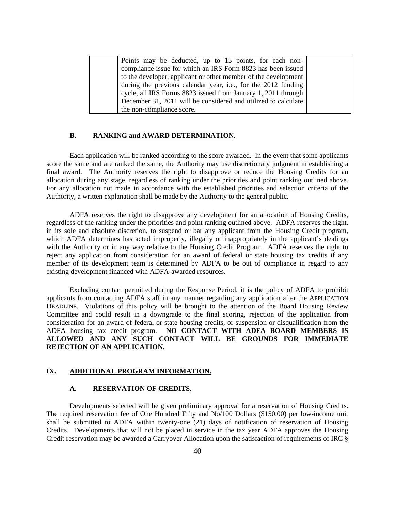| Points may be deducted, up to 15 points, for each non-          |  |  |  |  |
|-----------------------------------------------------------------|--|--|--|--|
| compliance issue for which an IRS Form 8823 has been issued     |  |  |  |  |
| to the developer, applicant or other member of the development  |  |  |  |  |
| during the previous calendar year, i.e., for the $2012$ funding |  |  |  |  |
| cycle, all IRS Forms 8823 issued from January 1, 2011 through   |  |  |  |  |
| December 31, 2011 will be considered and utilized to calculate  |  |  |  |  |
| the non-compliance score.                                       |  |  |  |  |

#### **B. RANKING and AWARD DETERMINATION.**

Each application will be ranked according to the score awarded. In the event that some applicants score the same and are ranked the same, the Authority may use discretionary judgment in establishing a final award. The Authority reserves the right to disapprove or reduce the Housing Credits for an allocation during any stage, regardless of ranking under the priorities and point ranking outlined above. For any allocation not made in accordance with the established priorities and selection criteria of the Authority, a written explanation shall be made by the Authority to the general public.

ADFA reserves the right to disapprove any development for an allocation of Housing Credits, regardless of the ranking under the priorities and point ranking outlined above. ADFA reserves the right, in its sole and absolute discretion, to suspend or bar any applicant from the Housing Credit program, which ADFA determines has acted improperly, illegally or inappropriately in the applicant's dealings with the Authority or in any way relative to the Housing Credit Program. ADFA reserves the right to reject any application from consideration for an award of federal or state housing tax credits if any member of its development team is determined by ADFA to be out of compliance in regard to any existing development financed with ADFA-awarded resources.

Excluding contact permitted during the Response Period, it is the policy of ADFA to prohibit applicants from contacting ADFA staff in any manner regarding any application after the APPLICATION DEADLINE. Violations of this policy will be brought to the attention of the Board Housing Review Committee and could result in a downgrade to the final scoring, rejection of the application from consideration for an award of federal or state housing credits, or suspension or disqualification from the ADFA housing tax credit program. **NO CONTACT WITH ADFA BOARD MEMBERS IS ALLOWED AND ANY SUCH CONTACT WILL BE GROUNDS FOR IMMEDIATE REJECTION OF AN APPLICATION.**

#### **IX. ADDITIONAL PROGRAM INFORMATION.**

#### **A. RESERVATION OF CREDITS.**

Developments selected will be given preliminary approval for a reservation of Housing Credits. The required reservation fee of One Hundred Fifty and No/100 Dollars (\$150.00) per low-income unit shall be submitted to ADFA within twenty-one (21) days of notification of reservation of Housing Credits. Developments that will not be placed in service in the tax year ADFA approves the Housing Credit reservation may be awarded a Carryover Allocation upon the satisfaction of requirements of IRC §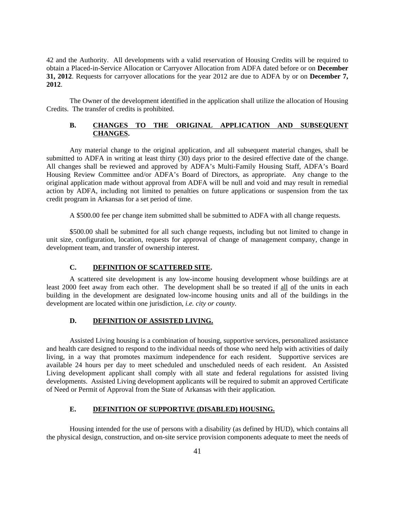42 and the Authority. All developments with a valid reservation of Housing Credits will be required to obtain a Placed-in-Service Allocation or Carryover Allocation from ADFA dated before or on **December 31, <sup>2012</sup>**. Requests for carryover allocations for the year <sup>2012</sup> are due to ADFA by or on **December 7, 2012**.

The Owner of the development identified in the application shall utilize the allocation of Housing Credits. The transfer of credits is prohibited.

#### **B. CHANGES TO THE ORIGINAL APPLICATION AND SUBSEQUENT CHANGES.**

Any material change to the original application, and all subsequent material changes, shall be submitted to ADFA in writing at least thirty (30) days prior to the desired effective date of the change. All changes shall be reviewed and approved by ADFA's Multi-Family Housing Staff, ADFA's Board Housing Review Committee and/or ADFA's Board of Directors, as appropriate. Any change to the original application made without approval from ADFA will be null and void and may result in remedial action by ADFA, including not limited to penalties on future applications or suspension from the tax credit program in Arkansas for a set period of time.

A \$500.00 fee per change item submitted shall be submitted to ADFA with all change requests.

\$500.00 shall be submitted for all such change requests, including but not limited to change in unit size, configuration, location, requests for approval of change of management company, change in development team, and transfer of ownership interest.

#### **C. DEFINITION OF SCATTERED SITE.**

A scattered site development is any low-income housing development whose buildings are at least 2000 feet away from each other. The development shall be so treated if all of the units in each building in the development are designated low-income housing units and all of the buildings in the development are located within one jurisdiction, *i.e. city or county.*

### **D. DEFINITION OF ASSISTED LIVING.**

Assisted Living housing is a combination of housing, supportive services, personalized assistance and health care designed to respond to the individual needs of those who need help with activities of daily living, in a way that promotes maximum independence for each resident. Supportive services are available 24 hours per day to meet scheduled and unscheduled needs of each resident. An Assisted Living development applicant shall comply with all state and federal regulations for assisted living developments. Assisted Living development applicants will be required to submit an approved Certificate of Need or Permit of Approval from the State of Arkansas with their application.

#### **E. DEFINITION OF SUPPORTIVE (DISABLED) HOUSING.**

Housing intended for the use of persons with a disability (as defined by HUD), which contains all the physical design, construction, and on-site service provision components adequate to meet the needs of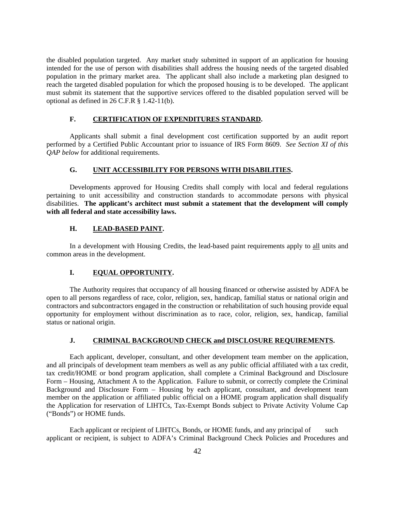the disabled population targeted. Any market study submitted in support of an application for housing intended for the use of person with disabilities shall address the housing needs of the targeted disabled population in the primary market area. The applicant shall also include a marketing plan designed to reach the targeted disabled population for which the proposed housing is to be developed. The applicant must submit its statement that the supportive services offered to the disabled population served will be optional as defined in 26 C.F.R § 1.42-11(b).

#### **F. CERTIFICATION OF EXPENDITURES STANDARD.**

Applicants shall submit a final development cost certification supported by an audit report performed by a Certified Public Accountant prior to issuance of IRS Form 8609. *See Section XI of this QAP below* for additional requirements.

#### **G. UNIT ACCESSIBILITY FOR PERSONS WITH DISABILITIES.**

Developments approved for Housing Credits shall comply with local and federal regulations pertaining to unit accessibility and construction standards to accommodate persons with physical disabilities. **The applicant's architect must submit a statement that the development will comply with all federal and state accessibility laws.** 

#### **H. LEAD-BASED PAINT.**

In a development with Housing Credits, the lead-based paint requirements apply to all units and common areas in the development.

#### **I. EQUAL OPPORTUNITY.**

The Authority requires that occupancy of all housing financed or otherwise assisted by ADFA be open to all persons regardless of race, color, religion, sex, handicap, familial status or national origin and contractors and subcontractors engaged in the construction or rehabilitation of such housing provide equal opportunity for employment without discrimination as to race, color, religion, sex, handicap, familial status or national origin.

#### **J. CRIMINAL BACKGROUND CHECK and DISCLOSURE REQUIREMENTS.**

Each applicant, developer, consultant, and other development team member on the application, and all principals of development team members as well as any public official affiliated with a tax credit, tax credit/HOME or bond program application, shall complete a Criminal Background and Disclosure Form – Housing, Attachment A to the Application. Failure to submit, or correctly complete the Criminal Background and Disclosure Form – Housing by each applicant, consultant, and development team member on the application or affiliated public official on a HOME program application shall disqualify the Application for reservation of LIHTCs, Tax-Exempt Bonds subject to Private Activity Volume Cap ("Bonds") or HOME funds.<br>Each applicant or recipient of LIHTCs, Bonds, or HOME funds, and any principal of such

applicant or recipient, is subject to ADFA's Criminal Background Check Policies and Procedures and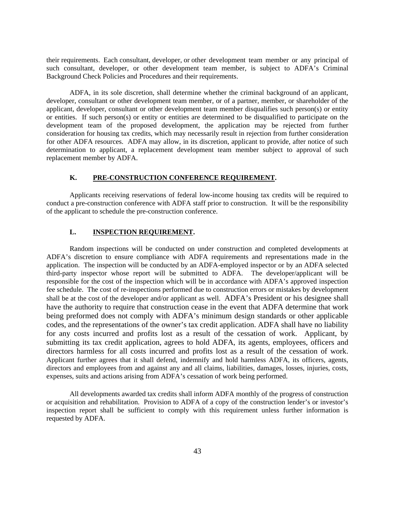their requirements. Each consultant, developer, or other development team member or any principal of such consultant, developer, or other development team member, is subject to ADFA's Criminal Background Check Policies and Procedures and their requirements.

ADFA, in its sole discretion, shall determine whether the criminal background of an applicant, developer, consultant or other development team member, or of a partner, member, or shareholder of the applicant, developer, consultant or other development team member disqualifies such person(s) or entity or entities. If such person(s) or entity or entities are determined to be disqualified to participate on the development team of the proposed development, the application may be rejected from further consideration for housing tax credits, which may necessarily result in rejection from further consideration for other ADFA resources. ADFA may allow, in its discretion, applicant to provide, after notice of such determination to applicant, a replacement development team member subject to approval of such replacement member by ADFA.

#### **K. PRE-CONSTRUCTION CONFERENCE REQUIREMENT.**

Applicants receiving reservations of federal low-income housing tax credits will be required to conduct a pre-construction conference with ADFA staff prior to construction. It will be the responsibility of the applicant to schedule the pre-construction conference.

#### **L. INSPECTION REQUIREMENT.**

Random inspections will be conducted on under construction and completed developments at ADFA's discretion to ensure compliance with ADFA requirements and representations made in the application. The inspection will be conducted by an ADFA-employed inspector or by an ADFA selected third-party inspector whose report will be submitted to ADFA. The developer/applicant will be responsible for the cost of the inspection which will be in accordance with ADFA's approved inspection fee schedule. The cost of re-inspections performed due to construction errors or mistakes by development shall be at the cost of the developer and/or applicant as well. ADFA's President or his designee shall have the authority to require that construction cease in the event that ADFA determine that work being preformed does not comply with ADFA's minimum design standards or other applicable codes, and the representations of the owner's tax credit application. ADFA shall have no liability for any costs incurred and profits lost as a result of the cessation of work. Applicant, by submitting its tax credit application, agrees to hold ADFA, its agents, employees, officers and directors harmless for all costs incurred and profits lost as a result of the cessation of work. Applicant further agrees that it shall defend, indemnify and hold harmless ADFA, its officers, agents, directors and employees from and against any and all claims, liabilities, damages, losses, injuries, costs, expenses, suits and actions arising from ADFA's cessation of work being performed.

All developments awarded tax credits shall inform ADFA monthly of the progress of construction or acquisition and rehabilitation. Provision to ADFA of a copy of the construction lender's or investor's inspection report shall be sufficient to comply with this requirement unless further information is requested by ADFA.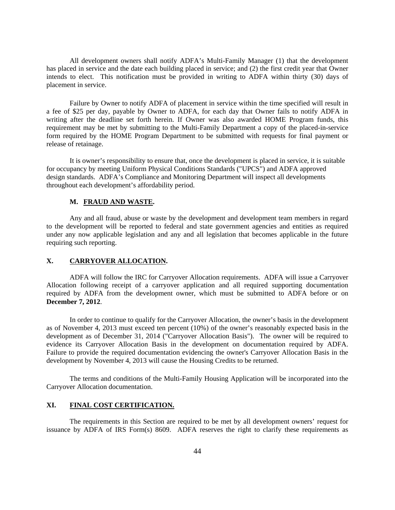All development owners shall notify ADFA's Multi-Family Manager (1) that the development has placed in service and the date each building placed in service; and (2) the first credit year that Owner intends to elect. This notification must be provided in writing to ADFA within thirty (30) days of placement in service.

Failure by Owner to notify ADFA of placement in service within the time specified will result in a fee of \$25 per day, payable by Owner to ADFA, for each day that Owner fails to notify ADFA in writing after the deadline set forth herein. If Owner was also awarded HOME Program funds, this requirement may be met by submitting to the Multi-Family Department a copy of the placed-in-service form required by the HOME Program Department to be submitted with requests for final payment or release of retainage.

It is owner's responsibility to ensure that, once the development is placed in service, it is suitable for occupancy by meeting Uniform Physical Conditions Standards ("UPCS") and ADFA approved design standards. ADFA's Compliance and Monitoring Department will inspect all developments throughout each development's affordability period.

#### **M. FRAUD AND WASTE.**

Any and all fraud, abuse or waste by the development and development team members in regard to the development will be reported to federal and state government agencies and entities as required under any now applicable legislation and any and all legislation that becomes applicable in the future requiring such reporting.

#### **X. CARRYOVER ALLOCATION.**

ADFA will follow the IRC for Carryover Allocation requirements. ADFA will issue a Carryover Allocation following receipt of a carryover application and all required supporting documentation required by ADFA from the development owner, which must be submitted to ADFA before or on **December 7, 2012.**<br>In order to continue to qualify for the Carryover Allocation, the owner's basis in the development

as of November 4, 2013 must exceed ten percent  $(10%)$  of the owner's reasonably expected basis in the development as of December 31, 2014 ("Carryover Allocation Basis"). The owner will be required to evidence its Carryover Allocation Basis in the development on documentation required by ADFA. Failure to provide the required documentation evidencing the owner's Carryover Allocation Basis in the development by November 4, 2013 will cause the Housing Credits to be returned.

The terms and conditions of the Multi-Family Housing Application will be incorporated into the Carryover Allocation documentation.

#### **XI. FINAL COST CERTIFICATION.**

The requirements in this Section are required to be met by all development owners' request for issuance by ADFA of IRS Form(s) 8609. ADFA reserves the right to clarify these requirements as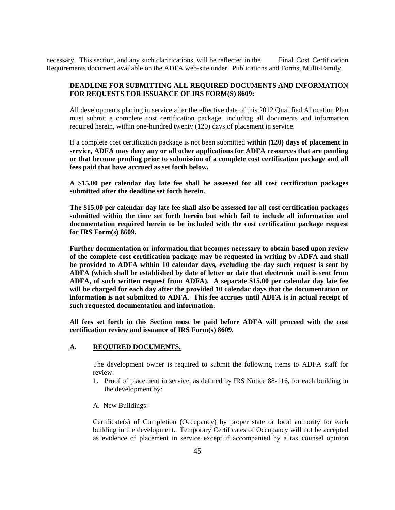necessary. This section, and any such clarifications, will be reflected in the Final Cost Certification Requirements document available on the ADFA web-site under Publications and Forms, Multi-Family.

#### **DEADLINE FOR SUBMITTING ALL REQUIRED DOCUMENTS AND INFORMATION FOR REQUESTS FOR ISSUANCE OF IRS FORM(S) 8609:**

All developments placing in service after the effective date of this 2012 Qualified Allocation Plan must submit a complete cost certification package, including all documents and information required herein, within one-hundred twenty (120) days of placement in service.

If a complete cost certification package is not been submitted **within (120) days of placement in service, ADFA may deny any or all other applications for ADFA resources that are pending or that become pending prior to submission of a complete cost certification package and all fees paid that have accrued as set forth below.** 

**A \$15.00 per calendar day late fee shall be assessed for all cost certification packages submitted after the deadline set forth herein.** 

**The \$15.00 per calendar day late fee shall also be assessed for all cost certification packages submitted within the time set forth herein but which fail to include all information and documentation required herein to be included with the cost certification package request for IRS Form(s) 8609.** 

**Further documentation or information that becomes necessary to obtain based upon review of the complete cost certification package may be requested in writing by ADFA and shall be provided to ADFA within 10 calendar days, excluding the day such request is sent by ADFA (which shall be established by date of letter or date that electronic mail is sent from ADFA, of such written request from ADFA).A separate \$15.00 per calendar day late fee will be charged for each day after the provided 10 calendar days that the documentation or information is not submitted to ADFA. This fee accrues until ADFA is in actual receipt of such requested documentation and information.** 

**All fees set forth in this Section must be paid before ADFA will proceed with the cost certification review and issuance of IRS Form(s) 8609.**

#### **A. REQUIRED DOCUMENTS.**

 The development owner is required to submit the following items to ADFA staff for review:

- 1. Proof of placement in service, as defined by IRS Notice 88-116, for each building in the development by:
- A. New Buildings:

Certificate(s) of Completion (Occupancy) by proper state or local authority for each building in the development. Temporary Certificates of Occupancy will not be accepted as evidence of placement in service except if accompanied by a tax counsel opinion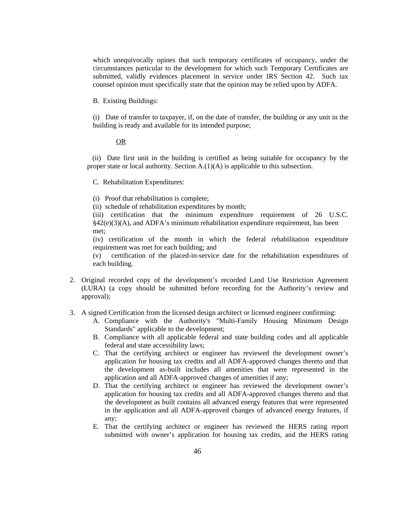which unequivocally opines that such temporary certificates of occupancy, under the circumstances particular to the development for which such Temporary Certificates are submitted, validly evidences placement in service under IRS Section 42. Such tax counsel opinion must specifically state that the opinion may be relied upon by ADFA.

B. Existing Buildings:

(i) Date of transfer to taxpayer, if, on the date of transfer, the building or any unit in the building is ready and available for its intended purpose;

#### OR SERVICE STRUCK CONTROL CONTROL CONTROL CONTROL CONTROL CONTROL CONTROL CONTROL CONTROL CONTROL CONTROL CONTROL CONTROL CONTROL CONTROL CONTROL CONTROL CONTROL CONTROL CONTROL CONTROL CONTROL CONTROL CONTROL CONTROL CONT

 (ii) Date first unit in the building is certified as being suitable for occupancy by the proper state or local authority. Section A.(1)(A) is applicable to this subsection.

C. Rehabilitation Expenditures:

- (i) Proof that rehabilitation is complete;
- (ii) schedule of rehabilitation expenditures by month;

(iii) certification that the minimum expenditure requirement of 26 U.S.C. §42(e)(3)(A), and ADFA's minimum rehabilitation expenditure requirement, has been met;

(iv) certification of the month in which the federal rehabilitation expenditure requirement was met for each building; and

(v) certification of the placed-in-servicedate for the rehabilitation expenditures of each building.

- 2. Original recorded copy of the development's recorded Land Use Restriction Agreement (LURA) (a copy should be submitted before recording for the Authority's review and approval);
- 3. A signed Certification from the licensed design architect or licensed engineer confirming:
	- A. Compliance with the Authority's "Multi-Family Housing Minimum Design Standards" applicable to the development;
	- B. Compliance with all applicable federal and state building codes and all applicable federal and state accessibility laws;
	- C. That the certifying architect or engineer has reviewed the development owner's application for housing tax credits and all ADFA-approved changes thereto and that the development as-built includes all amenities that were represented in the application and all ADFA-approved changes of amenities if any;
	- D. That the certifying architect or engineer has reviewed the development owner's application for housing tax credits and all ADFA-approved changes thereto and that the development as built contains all advanced energy features that were represented in the application and all ADFA-approved changes of advanced energy features, if any;
	- E. That the certifying architect or engineer has reviewed the HERS rating report submitted with owner's application for housing tax credits, and the HERS rating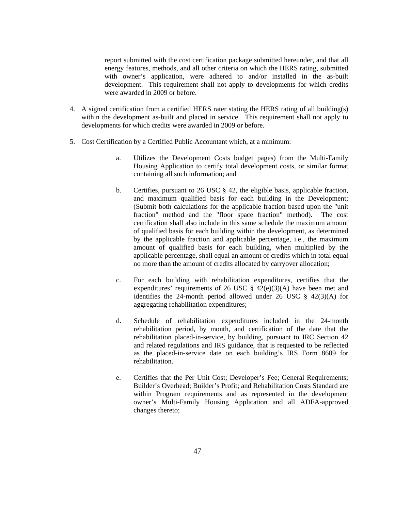report submitted with the cost certification package submitted hereunder, and that all energy features, methods, and all other criteria on which the HERS rating, submitted with owner's application, were adhered to and/or installed in the as-built development. This requirement shall not apply to developments for which credits were awarded in 2009 or before.

- 4. A signed certification from a certified HERS rater stating the HERS rating of all building(s) within the development as-built and placed in service. This requirement shall not apply to developments for which credits were awarded in 2009 or before.
- 5. Cost Certification by a Certified Public Accountant which, at a minimum:
	- a. Utilizes the Development Costs budget pages) from the Multi-Family Housing Application to certify total development costs, or similar format containing all such information; and
	- b. Certifies, pursuant to 26 USC § 42, the eligible basis, applicable fraction, and maximum qualified basis for each building in the Development; (Submit both calculations for the applicable fraction based upon the "unit fraction" method and the "floor space fraction" method). The cost certification shall also include in this same schedule the maximum amount of qualified basis for each building within the development, as determined by the applicable fraction and applicable percentage, i.e., the maximum amount of qualified basis for each building, when multiplied by the applicable percentage, shall equal an amount of credits which in total equal no more than the amount of credits allocated by carryover allocation;
	- c. For each building with rehabilitation expenditures, certifies that the expenditures' requirements of 26 USC § 42(e)(3)(A) have been met and identifies the 24-month period allowed under 26 USC § 42(3)(A) for aggregating rehabilitation expenditures;
	- d. Schedule of rehabilitation expenditures included in the 24-month rehabilitation period, by month, and certification of the date that the rehabilitation placed-in-service, by building, pursuant to IRC Section 42 and related regulations and IRS guidance, that is requested to be reflected as the placed-in-service date on each building's IRS Form 8609 for rehabilitation.
	- e. Certifies that the Per Unit Cost; Developer's Fee; General Requirements; Builder's Overhead; Builder's Profit; and Rehabilitation Costs Standard are within Program requirements and as represented in the development owner's Multi-Family Housing Application and all ADFA-approved changes thereto;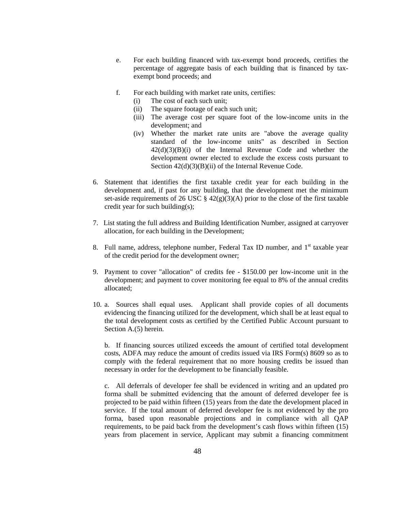- e. For each building financed with tax-exempt bond proceeds, certifies the percentage of aggregate basis of each building that is financed by tax exempt bond proceeds; and
- f. For each building with market rate units, certifies:
	- (i) The cost of each such unit;
	- (ii) The square footage of each such unit;
	- (iii) The average cost per square foot of the low-income units in the development; and
	- (iv) Whether the market rate units are "above the average quality standard of the low-income units" as described in Section 42(d)(3)(B)(i) of the Internal Revenue Code and whether the development owner elected to exclude the excess costs pursuant to Section  $42(d)(3)(B)(ii)$  of the Internal Revenue Code.
- 6. Statement that identifies the first taxable credit year for each building in the development and, if past for any building, that the development met the minimum set-aside requirements of 26 USC  $\S$  42(g)(3)(A) prior to the close of the first taxable credit year for such building(s);
- 7. List stating the full address and Building Identification Number, assigned at carryover allocation, for each building in the Development;
- 8. Full name, address, telephone number, Federal Tax ID number, and 1<sup>st</sup> taxable year st taxable year of the credit period for the development owner;
- 9. Payment to cover "allocation" of credits fee \$150.00 per low-income unit in the development; and payment to cover monitoring fee equal to 8% of the annual credits allocated; and the contract of the contract of the contract of the contract of the contract of the contract of the contract of the contract of the contract of the contract of the contract of the contract of the contract of
- 10. a. Sources shall equal uses.Applicant shall provide copies of all documents evidencing the financing utilized for the development, which shall be at least equal to the total development costs as certified by the Certified Public Account pursuant to Section A.(5) herein.

b. If financing sources utilized exceeds the amount of certified total development costs, ADFA may reduce the amount of credits issued via IRS Form(s) 8609 so as to comply with the federal requirement that no more housing credits be issued than necessary in order for the development to be financially feasible.

c. All deferrals of developer fee shall be evidenced in writing and an updated pro forma shall be submitted evidencing that the amount of deferred developer fee is projected to be paid within fifteen (15) years from the date the development placed in service. If the total amount of deferred developer fee is not evidenced by the pro forma, based upon reasonable projections and in compliance with all QAP requirements, to be paid back from the development's cash flows within fifteen (15) years from placement in service, Applicant may submit a financing commitment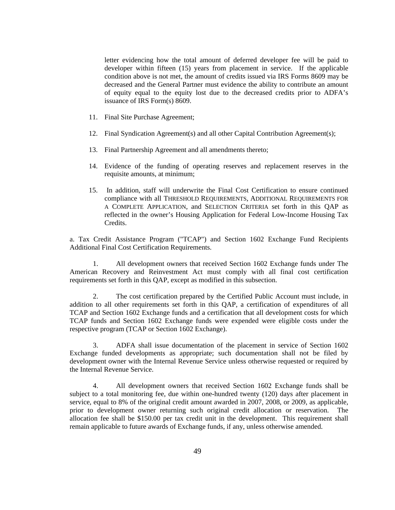letter evidencing how the total amount of deferred developer fee will be paid to developer within fifteen (15) years from placement in service. If the applicable condition above is not met, the amount of credits issued via IRS Forms 8609 may be decreased and the General Partner must evidence the ability to contribute an amount of equity equal to the equity lost due to the decreased credits prior to ADFA's issuance of IRS Form(s) 8609.

- 11. Final Site Purchase Agreement;
- 12. Final Syndication Agreement(s) and all other Capital Contribution Agreement(s);
- 13. Final Partnership Agreement and all amendments thereto;
- 14. Evidence of the funding of operating reserves and replacement reserves in the requisite amounts, at minimum;
- 15. In addition, staff will underwrite the Final Cost Certification to ensure continued compliance with all THRESHOLD REQUIREMENTS, ADDITIONAL REQUIREMENTS FOR A COMPLETE APPLICATION, and SELECTION CRITERIA set forth in this QAP as reflected in the owner's Housing Application for Federal Low-Income Housing Tax Credits.

a. Tax Credit Assistance Program ("TCAP") and Section 1602 Exchange Fund Recipients Additional Final Cost Certification Requirements.

1. All development owners that received Section 1602 Exchange funds under The American Recovery and Reinvestment Act must comply with all final cost certification requirements set forth in this QAP, except as modified in this subsection.

2. The cost certification prepared by the Certified Public Account must include, in addition to all other requirements set forth in this QAP, a certification of expenditures of all TCAP and Section 1602 Exchange funds and a certification that all development costs for which TCAP funds and Section 1602 Exchange funds were expended were eligible costs under the respective program (TCAP or Section 1602 Exchange).

3. ADFA shall issue documentation of the placement in service of Section 1602 Exchange funded developments as appropriate; such documentation shall not be filed by development owner with the Internal Revenue Service unless otherwise requested or required by the Internal Revenue Service.

4. All development owners that received Section 1602 Exchange funds shall be subject to a total monitoring fee, due within one-hundred twenty (120) days after placement in service, equal to 8% of the original credit amount awarded in 2007, 2008, or 2009, as applicable, prior to development owner returning such original credit allocation or reservation. The allocation fee shall be \$150.00 per tax credit unit in the development. This requirement shall remain applicable to future awards of Exchange funds, if any, unless otherwise amended.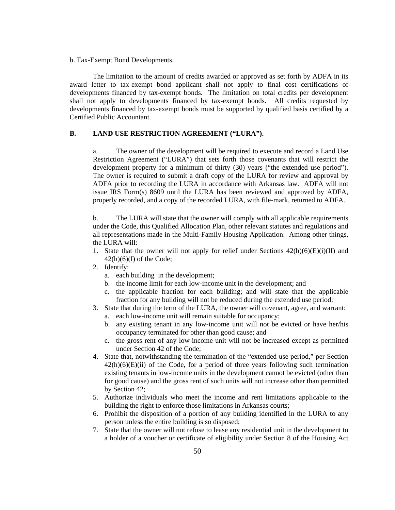b. Tax-Exempt Bond Developments.

The limitation to the amount of credits awarded or approved as set forth by ADFA in its award letter to tax-exempt bond applicant shall not apply to final cost certifications of developments financed by tax-exempt bonds. The limitation on total credits per development shall not apply to developments financed by tax-exempt bonds. All credits requested by developments financed by tax-exempt bonds must be supported by qualified basis certified by a Certified Public Accountant.

**B. LAND USE RESTRICTION AGREEMENT ("LURA").**<br>a. The owner of the development will be required to execute and record a Land Use Restriction Agreement ("LURA") that sets forth those covenants that will restrict the development property for a minimum of thirty (30) years ("the extended use period"). The owner is required to submit a draft copy of the LURA for review and approval by ADFA prior to recording the LURA in accordance with Arkansas law. ADFA will not issue IRS Form(s) 8609 until the LURA has been reviewed and approved by ADFA, properly recorded, and a copy of the recorded LURA, with file-mark, returned to ADFA.

b. The LURA will state that the owner will comply with all applicable requirements under the Code, this Qualified Allocation Plan, other relevant statutes and regulations and all representations made in the Multi-Family Housing Application. Among otherthings, the LURA will:

- 1. State that the owner will not apply for relief under Sections  $42(h)(6)(E)(i)(II)$  and  $42(h)(6)(I)$  of the Code;
- 2. Identify:
	- a. each building in the development;
	- b. the income limit for each low-income unit in the development; and
	- c. the applicable fraction for each building; and will state that the applicable fraction for any building will not be reduced during the extended use period;
- 3. State that during the term of the LURA, the owner will covenant, agree, and warrant: a. each low-income unit will remain suitable for occupancy;
	- b. any existing tenant in any low-income unit will not be evicted or have her/his occupancy terminated for other than good cause; and
	- c. the gross rent of any low-income unit will not be increased except as permitted under Section 42 of the Code;
- 4. State that, notwithstanding the termination of the "extended use period," per Section  $42(h)(6)(E)(ii)$  of the Code, for a period of three years following such termination existing tenants in low-income units in the development cannot be evicted (other than for good cause) and the gross rent of such units will not increase other than permitted by Section 42;
- 5. Authorize individuals who meet the income and rent limitations applicable to the building the right to enforce those limitations in Arkansas courts;
- 6. Prohibit the disposition of a portion of any building identified in the LURA to any person unless the entire building is so disposed;
- 7. State that the owner will not refuse to lease any residential unit in the development to a holder of a voucher or certificate of eligibility under Section 8 of the Housing Act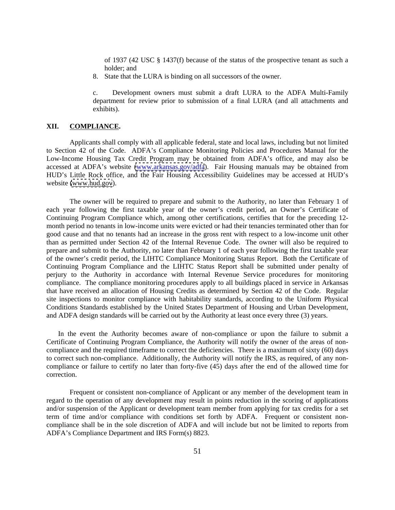of 1937 (42 USC § 1437(f) because of the status of the prospective tenant as such a holder; and

8. State that the LURA is binding on all successors of the owner.

c. Development owners must submit a draft LURA to the ADFA Multi-Family department for review prior to submission of a final LURA (and all attachments and exhibits).

#### **XII. COMPLIANCE.**

Applicants shall comply with all applicable federal, state and local laws, including but not limited to Section 42 of the Code. ADFA's Compliance Monitoring Policies and Procedures Manual for the Low-Income Housing Tax Credit Program may be obtained from ADFA's office, and may also be accessed at ADFA's website [\(www.arkansas.gov/adfa](http://www.arkansas.gov/adfa)). Fair Housing manuals may be obtained from HUD's Little Rock office, and the Fair Housing Accessibility Guidelines may be accessed at HUD's website [\(www.hud.gov](http://www.hud.gov)).

The owner will be required to prepare and submit to the Authority, no later than February 1 of each year following the first taxable year of the owner's credit period, an Owner's Certificate of Continuing Program Compliance which, among other certifications, certifies that for the preceding 12 month period no tenants in low-income units were evicted or had their tenancies terminated other than for good cause and that no tenants had an increase in the gross rent with respect to a low-income unit other than as permitted under Section 42 of the Internal Revenue Code. The owner will also be required to prepare and submit to the Authority, no later than February 1 of each year following the first taxable year of the owner's credit period, the LIHTC Compliance Monitoring Status Report. Both the Certificate of Continuing Program Compliance and the LIHTC Status Report shall be submitted under penalty of perjury to the Authority in accordance with Internal Revenue Service procedures for monitoring compliance. The compliance monitoring procedures apply to all buildings placed in service in Arkansas that have received an allocation of Housing Credits as determined by Section 42 of the Code. Regular site inspections to monitor compliance with habitability standards, according to the Uniform Physical Conditions Standards established by the United States Department of Housing and Urban Development, and ADFA design standards will be carried out by the Authority at least once every three (3) years.

In the event the Authority becomes aware of non-compliance or upon the failure to submit a Certificate of Continuing Program Compliance, the Authority will notify the owner of the areas of non compliance and the required timeframe to correct the deficiencies. There is a maximum of sixty (60) days to correct such non-compliance. Additionally, the Authority will notify the IRS, as required, of any non compliance or failure to certify no later than forty-five (45) days after the end of the allowed time for correction.

Frequent or consistent non-compliance of Applicant or any member of the development team in regard to the operation of any development may result in points reduction in the scoring of applications and/or suspension of the Applicant or development team member from applying for tax credits for a set term of time and/or compliance with conditions set forth by ADFA. Frequent or consistent non compliance shall be in the sole discretion of ADFA and will include but not be limited to reports from ADFA's Compliance Department and IRS Form(s) 8823.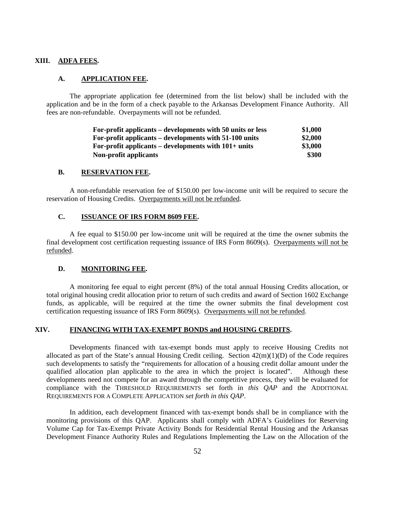#### **XIII. ADFA FEES.**

#### **A. APPLICATION FEE.**

The appropriate application fee (determined from the list below) shall be included with the application and be in the form of a check payable to the Arkansas Development Finance Authority. All fees are non-refundable. Overpayments will not be refunded.

| For-profit applicants – developments with 50 units or less | \$1,000 |
|------------------------------------------------------------|---------|
| For-profit applicants – developments with $51-100$ units   | \$2,000 |
| For-profit applicants – developments with $101+$ units     | \$3,000 |
| Non-profit applicants                                      | \$300   |

#### **B. RESERVATION FEE.**

A non-refundable reservation fee of \$150.00 per low-income unit will be required to secure the reservation of Housing Credits. Overpayments will not be refunded.

#### **C. ISSUANCE OF IRS FORM 8609 FEE.**

A fee equal to \$150.00 per low-incomeunit will be required at the time the owner submits the final development cost certification requesting issuance of IRS Form 8609(s). Overpayments will not be refunded. The contract of the contract of the contract of the contract of the contract of the contract of the contract of the contract of the contract of the contract of the contract of the contract of the contract of the

#### **D. MONITORING FEE.**

A monitoring fee equal to eight percent (8%) of the total annual Housing Credits allocation, or total original housing credit allocation prior to return of such credits and award of Section 1602 Exchange funds, as applicable, will be required at the time the owner submits the final development cost certification requesting issuance of IRS Form 8609(s). Overpayments will not be refunded.

### **XIV. FINANCING WITH TAX-EXEMPT BONDS and HOUSING CREDITS.**

Developments financed with tax-exempt bonds must apply to receive Housing Credits not allocated as part of the State's annual Housing Credit ceiling. Section  $42(m)(1)(D)$  of the Code requires such developments to satisfy the "requirements for allocation of a housing credit dollar amount under the qualified allocation plan applicable to the area in which the project is located". Although these developments need not compete for an award through the competitive process, they will be evaluated for compliance with the THRESHOLD REQUIREMENTS set forth in *this OAP* and the ADDITIONAL REQUIREMENTS FOR A COMPLETE APPLICATION *set forth in this QAP*.<br>In addition, each development financed with tax-exempt bonds shall be in compliance with the

monitoring provisions of this QAP. Applicants shall comply with ADFA's Guidelines for Reserving Volume Cap for Tax-Exempt Private Activity Bonds for Residential Rental Housing and the Arkansas Development Finance Authority Rules and Regulations Implementing the Law on the Allocation of the